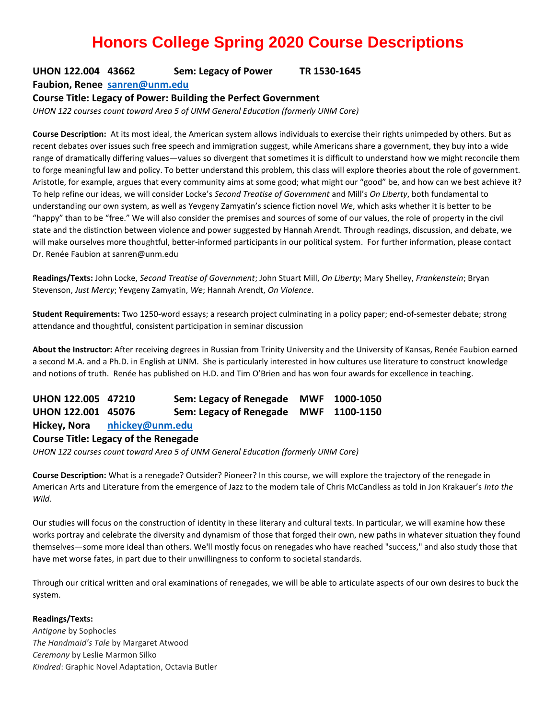# **Honors College Spring 2020 Course Descriptions**

# **UHON 122.004 43662 Sem: Legacy of Power TR 1530-1645**

**Faubion, Renee [sanren@unm.edu](mailto:sanren@unm.edu)**

#### **Course Title: Legacy of Power: Building the Perfect Government**

*UHON 122 courses count toward Area 5 of UNM General Education (formerly UNM Core)*

**Course Description:** At its most ideal, the American system allows individuals to exercise their rights unimpeded by others. But as recent debates over issues such free speech and immigration suggest, while Americans share a government, they buy into a wide range of dramatically differing values—values so divergent that sometimes it is difficult to understand how we might reconcile them to forge meaningful law and policy. To better understand this problem, this class will explore theories about the role of government. Aristotle, for example, argues that every community aims at some good; what might our "good" be, and how can we best achieve it? To help refine our ideas, we will consider Locke's *Second Treatise of Government* and Mill's *On Liberty*, both fundamental to understanding our own system, as well as Yevgeny Zamyatin's science fiction novel *We*, which asks whether it is better to be "happy" than to be "free." We will also consider the premises and sources of some of our values, the role of property in the civil state and the distinction between violence and power suggested by Hannah Arendt. Through readings, discussion, and debate, we will make ourselves more thoughtful, better-informed participants in our political system. For further information, please contact Dr. Renée Faubion at sanren@unm.edu

**Readings/Texts:** John Locke, *Second Treatise of Government*; John Stuart Mill, *On Liberty*; Mary Shelley, *Frankenstein*; Bryan Stevenson, *Just Mercy*; Yevgeny Zamyatin, *We*; Hannah Arendt, *On Violence*.

**Student Requirements:** Two 1250-word essays; a research project culminating in a policy paper; end-of-semester debate; strong attendance and thoughtful, consistent participation in seminar discussion

**About the Instructor:** After receiving degrees in Russian from Trinity University and the University of Kansas, Renée Faubion earned a second M.A. and a Ph.D. in English at UNM. She is particularly interested in how cultures use literature to construct knowledge and notions of truth. Renée has published on H.D. and Tim O'Brien and has won four awards for excellence in teaching.

**UHON 122.005 47210 Sem: Legacy of Renegade MWF 1000-1050 UHON 122.001 45076 Sem: Legacy of Renegade MWF 1100-1150 Hickey, Nora [nhickey@unm.edu](mailto:nhickey@unm.edu)**

#### **Course Title: Legacy of the Renegade**

*UHON 122 courses count toward Area 5 of UNM General Education (formerly UNM Core)*

**Course Description:** What is a renegade? Outsider? Pioneer? In this course, we will explore the trajectory of the renegade in American Arts and Literature from the emergence of Jazz to the modern tale of Chris McCandless as told in Jon Krakauer's *Into the Wild*.

Our studies will focus on the construction of identity in these literary and cultural texts. In particular, we will examine how these works portray and celebrate the diversity and dynamism of those that forged their own, new paths in whatever situation they found themselves—some more ideal than others. We'll mostly focus on renegades who have reached "success," and also study those that have met worse fates, in part due to their unwillingness to conform to societal standards.

Through our critical written and oral examinations of renegades, we will be able to articulate aspects of our own desires to buck the system.

#### **Readings/Texts:**

*Antigone* by Sophocles *The Handmaid's Tale* by Margaret Atwood *Ceremony* by Leslie Marmon Silko *Kindred*: Graphic Novel Adaptation, Octavia Butler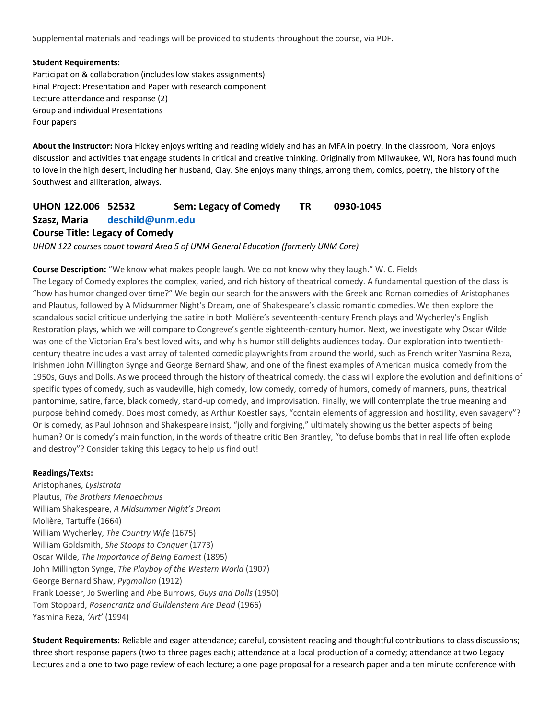Supplemental materials and readings will be provided to students throughout the course, via PDF.

#### **Student Requirements:**

Participation & collaboration (includes low stakes assignments) Final Project: Presentation and Paper with research component Lecture attendance and response (2) Group and individual Presentations Four papers

**About the Instructor:** Nora Hickey enjoys writing and reading widely and has an MFA in poetry. In the classroom, Nora enjoys discussion and activities that engage students in critical and creative thinking. Originally from Milwaukee, WI, Nora has found much to love in the high desert, including her husband, Clay. She enjoys many things, among them, comics, poetry, the history of the Southwest and alliteration, always.

# **UHON 122.006 52532 Sem: Legacy of Comedy TR 0930-1045 Szasz, Maria [deschild@unm.edu](mailto:deschild@unm.edu) Course Title: Legacy of Comedy**

*UHON 122 courses count toward Area 5 of UNM General Education (formerly UNM Core)*

**Course Description:** "We know what makes people laugh. We do not know why they laugh." W. C. Fields The Legacy of Comedy explores the complex, varied, and rich history of theatrical comedy. A fundamental question of the class is "how has humor changed over time?" We begin our search for the answers with the Greek and Roman comedies of Aristophanes and Plautus, followed by A Midsummer Night's Dream, one of Shakespeare's classic romantic comedies. We then explore the scandalous social critique underlying the satire in both Molière's seventeenth-century French plays and Wycherley's English Restoration plays, which we will compare to Congreve's gentle eighteenth-century humor. Next, we investigate why Oscar Wilde was one of the Victorian Era's best loved wits, and why his humor still delights audiences today. Our exploration into twentiethcentury theatre includes a vast array of talented comedic playwrights from around the world, such as French writer Yasmina Reza, Irishmen John Millington Synge and George Bernard Shaw, and one of the finest examples of American musical comedy from the 1950s, Guys and Dolls. As we proceed through the history of theatrical comedy, the class will explore the evolution and definitions of specific types of comedy, such as vaudeville, high comedy, low comedy, comedy of humors, comedy of manners, puns, theatrical pantomime, satire, farce, black comedy, stand-up comedy, and improvisation. Finally, we will contemplate the true meaning and purpose behind comedy. Does most comedy, as Arthur Koestler says, "contain elements of aggression and hostility, even savagery"? Or is comedy, as Paul Johnson and Shakespeare insist, "jolly and forgiving," ultimately showing us the better aspects of being human? Or is comedy's main function, in the words of theatre critic Ben Brantley, "to defuse bombs that in real life often explode and destroy"? Consider taking this Legacy to help us find out!

#### **Readings/Texts:**

Aristophanes, *Lysistrata* Plautus, *The Brothers Menaechmus* William Shakespeare, *A Midsummer Night's Dream* Molière, Tartuffe (1664) William Wycherley, *The Country Wife* (1675) William Goldsmith, *She Stoops to Conquer* (1773) Oscar Wilde, *The Importance of Being Earnest* (1895) John Millington Synge, *The Playboy of the Western World* (1907) George Bernard Shaw, *Pygmalion* (1912) Frank Loesser, Jo Swerling and Abe Burrows, *Guys and Dolls* (1950) Tom Stoppard, *Rosencrantz and Guildenstern Are Dead* (1966) Yasmina Reza, *'Art'* (1994)

**Student Requirements:** Reliable and eager attendance; careful, consistent reading and thoughtful contributions to class discussions; three short response papers (two to three pages each); attendance at a local production of a comedy; attendance at two Legacy Lectures and a one to two page review of each lecture; a one page proposal for a research paper and a ten minute conference with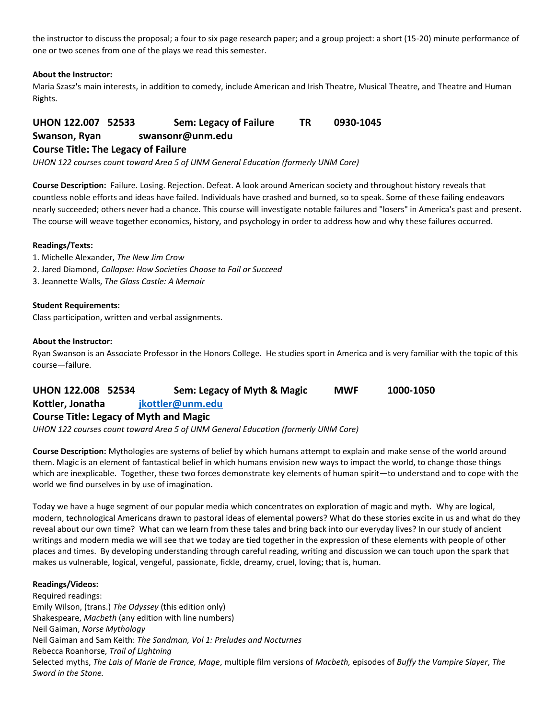the instructor to discuss the proposal; a four to six page research paper; and a group project: a short (15-20) minute performance of one or two scenes from one of the plays we read this semester.

#### **About the Instructor:**

Maria Szasz's main interests, in addition to comedy, include American and Irish Theatre, Musical Theatre, and Theatre and Human Rights.

# **UHON 122.007 52533 Sem: Legacy of Failure TR 0930-1045 Swanson, Ryan swansonr@unm.edu Course Title: The Legacy of Failure**

*UHON 122 courses count toward Area 5 of UNM General Education (formerly UNM Core)*

**Course Description:** Failure. Losing. Rejection. Defeat. A look around American society and throughout history reveals that countless noble efforts and ideas have failed. Individuals have crashed and burned, so to speak. Some of these failing endeavors nearly succeeded; others never had a chance. This course will investigate notable failures and "losers" in America's past and present. The course will weave together economics, history, and psychology in order to address how and why these failures occurred.

#### **Readings/Texts:**

- 1. Michelle Alexander, *The New Jim Crow*
- 2. Jared Diamond, *Collapse: How Societies Choose to Fail or Succeed*
- 3. Jeannette Walls, *The Glass Castle: A Memoir*

#### **Student Requirements:**

Class participation, written and verbal assignments.

#### **About the Instructor:**

Ryan Swanson is an Associate Professor in the Honors College. He studies sport in America and is very familiar with the topic of this course—failure.

# **UHON 122.008 52534 Sem: Legacy of Myth & Magic MWF 1000-1050**

# **Kottler, Jonatha [jkottler@unm.edu](mailto:jkottler@unm.edu)**

#### **Course Title: Legacy of Myth and Magic**

*UHON 122 courses count toward Area 5 of UNM General Education (formerly UNM Core)*

**Course Description:** Mythologies are systems of belief by which humans attempt to explain and make sense of the world around them. Magic is an element of fantastical belief in which humans envision new ways to impact the world, to change those things which are inexplicable. Together, these two forces demonstrate key elements of human spirit—to understand and to cope with the world we find ourselves in by use of imagination.

Today we have a huge segment of our popular media which concentrates on exploration of magic and myth. Why are logical, modern, technological Americans drawn to pastoral ideas of elemental powers? What do these stories excite in us and what do they reveal about our own time? What can we learn from these tales and bring back into our everyday lives? In our study of ancient writings and modern media we will see that we today are tied together in the expression of these elements with people of other places and times. By developing understanding through careful reading, writing and discussion we can touch upon the spark that makes us vulnerable, logical, vengeful, passionate, fickle, dreamy, cruel, loving; that is, human.

#### **Readings/Videos:**

Required readings: Emily Wilson, (trans.) *The Odyssey* (this edition only) Shakespeare, *Macbeth* (any edition with line numbers) Neil Gaiman, *Norse Mythology* Neil Gaiman and Sam Keith: *The Sandman, Vol 1: Preludes and Nocturnes* Rebecca Roanhorse, *Trail of Lightning* Selected myths, *The Lais of Marie de France, Mage*, multiple film versions of *Macbeth,* episodes of *Buffy the Vampire Slayer*, *The Sword in the Stone.*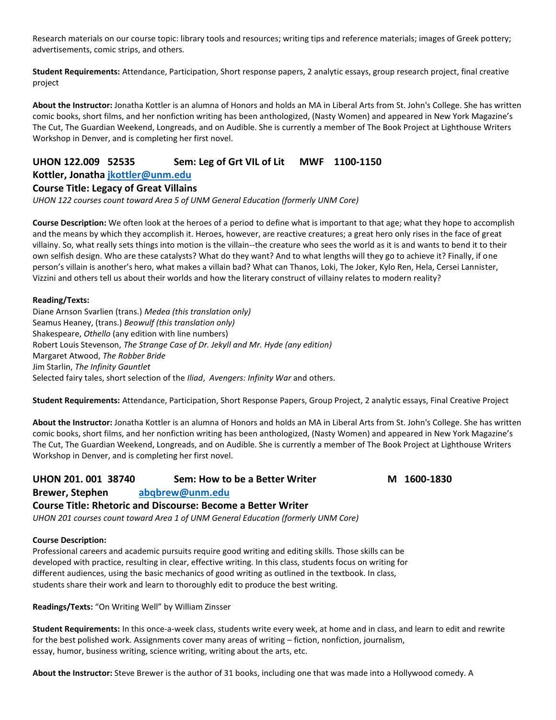Research materials on our course topic: library tools and resources; writing tips and reference materials; images of Greek pottery; advertisements, comic strips, and others.

**Student Requirements:** Attendance, Participation, Short response papers, 2 analytic essays, group research project, final creative project

**About the Instructor:** Jonatha Kottler is an alumna of Honors and holds an MA in Liberal Arts from St. John's College. She has written comic books, short films, and her nonfiction writing has been anthologized, (Nasty Women) and appeared in New York Magazine's The Cut, The Guardian Weekend, Longreads, and on Audible. She is currently a member of The Book Project at Lighthouse Writers Workshop in Denver, and is completing her first novel.

## **UHON 122.009 52535 Sem: Leg of Grt VIL of Lit MWF 1100-1150**

#### **Kottler, Jonatha [jkottler@unm.edu](mailto:jkottler@unm.edu)**

#### **Course Title: Legacy of Great Villains**

*UHON 122 courses count toward Area 5 of UNM General Education (formerly UNM Core)*

**Course Description:** We often look at the heroes of a period to define what is important to that age; what they hope to accomplish and the means by which they accomplish it. Heroes, however, are reactive creatures; a great hero only rises in the face of great villainy. So, what really sets things into motion is the villain--the creature who sees the world as it is and wants to bend it to their own selfish design. Who are these catalysts? What do they want? And to what lengths will they go to achieve it? Finally, if one person's villain is another's hero, what makes a villain bad? What can Thanos, Loki, The Joker, Kylo Ren, Hela, Cersei Lannister, Vizzini and others tell us about their worlds and how the literary construct of villainy relates to modern reality?

#### **Reading/Texts:**

Diane Arnson Svarlien (trans.) *Medea (this translation only)* Seamus Heaney, (trans.) *Beowulf (this translation only)* Shakespeare, *Othello* (any edition with line numbers) Robert Louis Stevenson, *The Strange Case of Dr. Jekyll and Mr. Hyde (any edition)* Margaret Atwood, *The Robber Bride* Jim Starlin, *The Infinity Gauntlet* Selected fairy tales, short selection of the *Iliad*, *Avengers: Infinity War* and others.

**Student Requirements:** Attendance, Participation, Short Response Papers, Group Project, 2 analytic essays, Final Creative Project

**About the Instructor:** Jonatha Kottler is an alumna of Honors and holds an MA in Liberal Arts from St. John's College. She has written comic books, short films, and her nonfiction writing has been anthologized, (Nasty Women) and appeared in New York Magazine's The Cut, The Guardian Weekend, Longreads, and on Audible. She is currently a member of The Book Project at Lighthouse Writers Workshop in Denver, and is completing her first novel.

# **UHON 201. 001 38740 Sem: How to be a Better Writer M 1600-1830 Brewer, Stephen [abqbrew@unm.edu](mailto:abqbrew@unm.edu)**

#### **Course Title: Rhetoric and Discourse: Become a Better Writer**

*UHON 201 courses count toward Area 1 of UNM General Education (formerly UNM Core)*

#### **Course Description:**

Professional careers and academic pursuits require good writing and editing skills. Those skills can be developed with practice, resulting in clear, effective writing. In this class, students focus on writing for different audiences, using the basic mechanics of good writing as outlined in the textbook. In class, students share their work and learn to thoroughly edit to produce the best writing.

**Readings/Texts:** "On Writing Well" by William Zinsser

**Student Requirements:** In this once-a-week class, students write every week, at home and in class, and learn to edit and rewrite for the best polished work. Assignments cover many areas of writing – fiction, nonfiction, journalism, essay, humor, business writing, science writing, writing about the arts, etc.

**About the Instructor:** Steve Brewer is the author of 31 books, including one that was made into a Hollywood comedy. A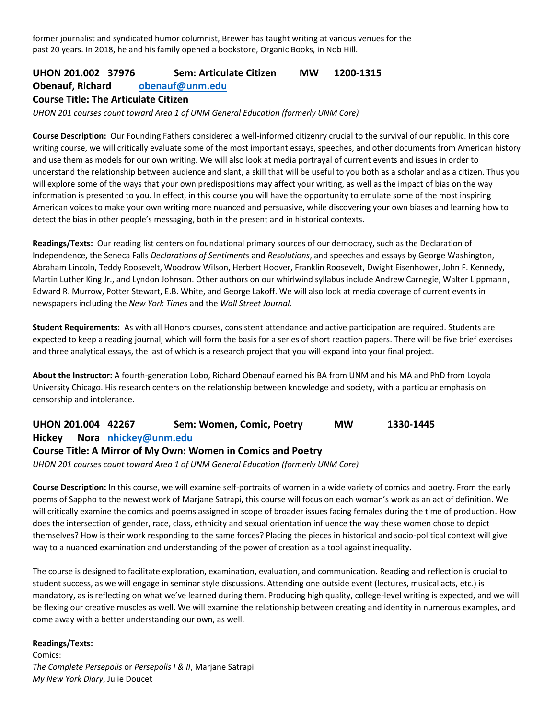former journalist and syndicated humor columnist, Brewer has taught writing at various venues for the past 20 years. In 2018, he and his family opened a bookstore, Organic Books, in Nob Hill.

# **UHON 201.002 37976 Sem: Articulate Citizen MW 1200-1315 Obenauf, Richard [obenauf@unm.edu](mailto:obenauf@unm.edu) Course Title: The Articulate Citizen**

*UHON 201 courses count toward Area 1 of UNM General Education (formerly UNM Core)*

**Course Description:** Our Founding Fathers considered a well-informed citizenry crucial to the survival of our republic. In this core writing course, we will critically evaluate some of the most important essays, speeches, and other documents from American history and use them as models for our own writing. We will also look at media portrayal of current events and issues in order to understand the relationship between audience and slant, a skill that will be useful to you both as a scholar and as a citizen. Thus you will explore some of the ways that your own predispositions may affect your writing, as well as the impact of bias on the way information is presented to you. In effect, in this course you will have the opportunity to emulate some of the most inspiring American voices to make your own writing more nuanced and persuasive, while discovering your own biases and learning how to detect the bias in other people's messaging, both in the present and in historical contexts.

**Readings/Texts:** Our reading list centers on foundational primary sources of our democracy, such as the Declaration of Independence, the Seneca Falls *Declarations of Sentiments* and *Resolutions*, and speeches and essays by George Washington, Abraham Lincoln, Teddy Roosevelt, Woodrow Wilson, Herbert Hoover, Franklin Roosevelt, Dwight Eisenhower, John F. Kennedy, Martin Luther King Jr., and Lyndon Johnson. Other authors on our whirlwind syllabus include Andrew Carnegie, Walter Lippmann, Edward R. Murrow, Potter Stewart, E.B. White, and George Lakoff. We will also look at media coverage of current events in newspapers including the *New York Times* and the *Wall Street Journal*.

**Student Requirements:** As with all Honors courses, consistent attendance and active participation are required. Students are expected to keep a reading journal, which will form the basis for a series of short reaction papers. There will be five brief exercises and three analytical essays, the last of which is a research project that you will expand into your final project.

**About the Instructor:** A fourth-generation Lobo, Richard Obenauf earned his BA from UNM and his MA and PhD from Loyola University Chicago. His research centers on the relationship between knowledge and society, with a particular emphasis on censorship and intolerance.

# **UHON 201.004 42267 Sem: Women, Comic, Poetry MW 1330-1445 Hickey Nora [nhickey@unm.edu](mailto:nhickey@unm.edu) Course Title: A Mirror of My Own: Women in Comics and Poetry**

*UHON 201 courses count toward Area 1 of UNM General Education (formerly UNM Core)*

**Course Description:** In this course, we will examine self-portraits of women in a wide variety of comics and poetry. From the early poems of Sappho to the newest work of Marjane Satrapi, this course will focus on each woman's work as an act of definition. We will critically examine the comics and poems assigned in scope of broader issues facing females during the time of production. How does the intersection of gender, race, class, ethnicity and sexual orientation influence the way these women chose to depict themselves? How is their work responding to the same forces? Placing the pieces in historical and socio-political context will give way to a nuanced examination and understanding of the power of creation as a tool against inequality.

The course is designed to facilitate exploration, examination, evaluation, and communication. Reading and reflection is crucial to student success, as we will engage in seminar style discussions. Attending one outside event (lectures, musical acts, etc.) is mandatory, as is reflecting on what we've learned during them. Producing high quality, college-level writing is expected, and we will be flexing our creative muscles as well. We will examine the relationship between creating and identity in numerous examples, and come away with a better understanding our own, as well.

**Readings/Texts:** 

Comics: *The Complete Persepolis* or *Persepolis I & II*, Marjane Satrapi *My New York Diary*, Julie Doucet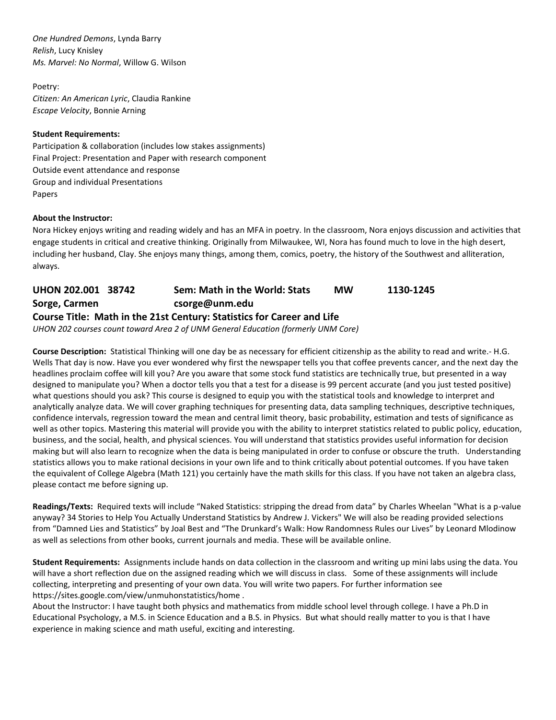*One Hundred Demons*, Lynda Barry *Relish*, Lucy Knisley *Ms. Marvel: No Normal*, Willow G. Wilson

Poetry: *Citizen: An American Lyric*, Claudia Rankine *Escape Velocity*, Bonnie Arning

#### **Student Requirements:**

Participation & collaboration (includes low stakes assignments) Final Project: Presentation and Paper with research component Outside event attendance and response Group and individual Presentations Papers

#### **About the Instructor:**

Nora Hickey enjoys writing and reading widely and has an MFA in poetry. In the classroom, Nora enjoys discussion and activities that engage students in critical and creative thinking. Originally from Milwaukee, WI, Nora has found much to love in the high desert, including her husband, Clay. She enjoys many things, among them, comics, poetry, the history of the Southwest and alliteration, always.

# **UHON 202.001 38742 Sem: Math in the World: Stats MW 1130-1245 Sorge, Carmen csorge@unm.edu Course Title: Math in the 21st Century: Statistics for Career and Life**

*UHON 202 courses count toward Area 2 of UNM General Education (formerly UNM Core)*

**Course Description:** Statistical Thinking will one day be as necessary for efficient citizenship as the ability to read and write.- H.G. Wells That day is now. Have you ever wondered why first the newspaper tells you that coffee prevents cancer, and the next day the headlines proclaim coffee will kill you? Are you aware that some stock fund statistics are technically true, but presented in a way designed to manipulate you? When a doctor tells you that a test for a disease is 99 percent accurate (and you just tested positive) what questions should you ask? This course is designed to equip you with the statistical tools and knowledge to interpret and analytically analyze data. We will cover graphing techniques for presenting data, data sampling techniques, descriptive techniques, confidence intervals, regression toward the mean and central limit theory, basic probability, estimation and tests of significance as well as other topics. Mastering this material will provide you with the ability to interpret statistics related to public policy, education, business, and the social, health, and physical sciences. You will understand that statistics provides useful information for decision making but will also learn to recognize when the data is being manipulated in order to confuse or obscure the truth. Understanding statistics allows you to make rational decisions in your own life and to think critically about potential outcomes. If you have taken the equivalent of College Algebra (Math 121) you certainly have the math skills for this class. If you have not taken an algebra class, please contact me before signing up.

**Readings/Texts:** Required texts will include "Naked Statistics: stripping the dread from data" by Charles Wheelan "What is a p-value anyway? 34 Stories to Help You Actually Understand Statistics by Andrew J. Vickers" We will also be reading provided selections from "Damned Lies and Statistics" by Joal Best and "The Drunkard's Walk: How Randomness Rules our Lives" by Leonard Mlodinow as well as selections from other books, current journals and media. These will be available online.

**Student Requirements:** Assignments include hands on data collection in the classroom and writing up mini labs using the data. You will have a short reflection due on the assigned reading which we will discuss in class. Some of these assignments will include collecting, interpreting and presenting of your own data. You will write two papers. For further information see https://sites.google.com/view/unmuhonstatistics/home .

About the Instructor: I have taught both physics and mathematics from middle school level through college. I have a Ph.D in Educational Psychology, a M.S. in Science Education and a B.S. in Physics. But what should really matter to you is that I have experience in making science and math useful, exciting and interesting.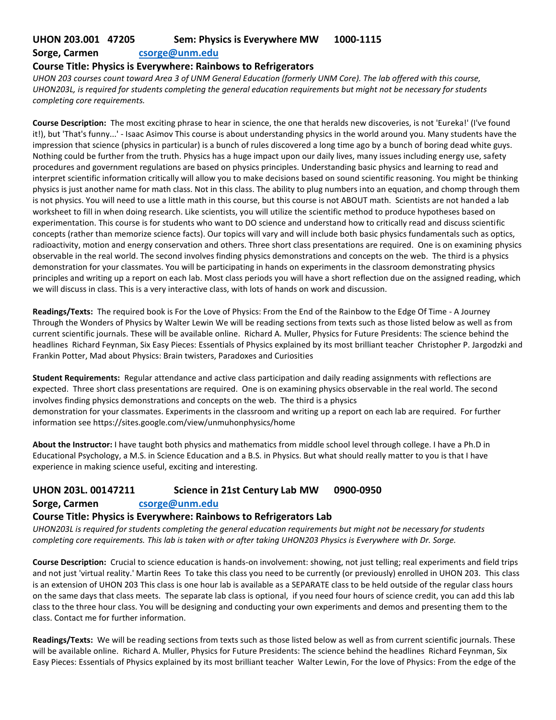# **UHON 203.001 47205 Sem: Physics is Everywhere MW 1000-1115**

#### **Sorge, Carmen [csorge@unm.edu](mailto:csorge@unm.edu)**

### **Course Title: Physics is Everywhere: Rainbows to Refrigerators**

*UHON 203 courses count toward Area 3 of UNM General Education (formerly UNM Core). The lab offered with this course, UHON203L, is required for students completing the general education requirements but might not be necessary for students completing core requirements.*

**Course Description:** The most exciting phrase to hear in science, the one that heralds new discoveries, is not 'Eureka!' (I've found it!), but 'That's funny...' - Isaac Asimov This course is about understanding physics in the world around you. Many students have the impression that science (physics in particular) is a bunch of rules discovered a long time ago by a bunch of boring dead white guys. Nothing could be further from the truth. Physics has a huge impact upon our daily lives, many issues including energy use, safety procedures and government regulations are based on physics principles. Understanding basic physics and learning to read and interpret scientific information critically will allow you to make decisions based on sound scientific reasoning. You might be thinking physics is just another name for math class. Not in this class. The ability to plug numbers into an equation, and chomp through them is not physics. You will need to use a little math in this course, but this course is not ABOUT math. Scientists are not handed a lab worksheet to fill in when doing research. Like scientists, you will utilize the scientific method to produce hypotheses based on experimentation. This course is for students who want to DO science and understand how to critically read and discuss scientific concepts (rather than memorize science facts). Our topics will vary and will include both basic physics fundamentals such as optics, radioactivity, motion and energy conservation and others. Three short class presentations are required. One is on examining physics observable in the real world. The second involves finding physics demonstrations and concepts on the web. The third is a physics demonstration for your classmates. You will be participating in hands on experiments in the classroom demonstrating physics principles and writing up a report on each lab. Most class periods you will have a short reflection due on the assigned reading, which we will discuss in class. This is a very interactive class, with lots of hands on work and discussion.

**Readings/Texts:** The required book is For the Love of Physics: From the End of the Rainbow to the Edge Of Time - A Journey Through the Wonders of Physics by Walter Lewin We will be reading sections from texts such as those listed below as well as from current scientific journals. These will be available online. Richard A. Muller, Physics for Future Presidents: The science behind the headlines Richard Feynman, Six Easy Pieces: Essentials of Physics explained by its most brilliant teacher Christopher P. Jargodzki and Frankin Potter, Mad about Physics: Brain twisters, Paradoxes and Curiosities

**Student Requirements:** Regular attendance and active class participation and daily reading assignments with reflections are expected. Three short class presentations are required. One is on examining physics observable in the real world. The second involves finding physics demonstrations and concepts on the web. The third is a physics demonstration for your classmates. Experiments in the classroom and writing up a report on each lab are required. For further information see https://sites.google.com/view/unmuhonphysics/home

**About the Instructor:** I have taught both physics and mathematics from middle school level through college. I have a Ph.D in Educational Psychology, a M.S. in Science Education and a B.S. in Physics. But what should really matter to you is that I have experience in making science useful, exciting and interesting.

# **UHON 203L. 00147211 Science in 21st Century Lab MW 0900-0950**

#### **Sorge, Carmen [csorge@unm.edu](mailto:csorge@unm.edu)**

#### **Course Title: Physics is Everywhere: Rainbows to Refrigerators Lab**

*UHON203L is required for students completing the general education requirements but might not be necessary for students completing core requirements. This lab is taken with or after taking UHON203 Physics is Everywhere with Dr. Sorge.*

**Course Description:** Crucial to science education is hands-on involvement: showing, not just telling; real experiments and field trips and not just 'virtual reality.' Martin Rees To take this class you need to be currently (or previously) enrolled in UHON 203. This class is an extension of UHON 203 This class is one hour lab is available as a SEPARATE class to be held outside of the regular class hours on the same days that class meets. The separate lab class is optional, if you need four hours of science credit, you can add this lab class to the three hour class. You will be designing and conducting your own experiments and demos and presenting them to the class. Contact me for further information.

**Readings/Texts:** We will be reading sections from texts such as those listed below as well as from current scientific journals. These will be available online. Richard A. Muller, Physics for Future Presidents: The science behind the headlines Richard Feynman, Six Easy Pieces: Essentials of Physics explained by its most brilliant teacher Walter Lewin, For the love of Physics: From the edge of the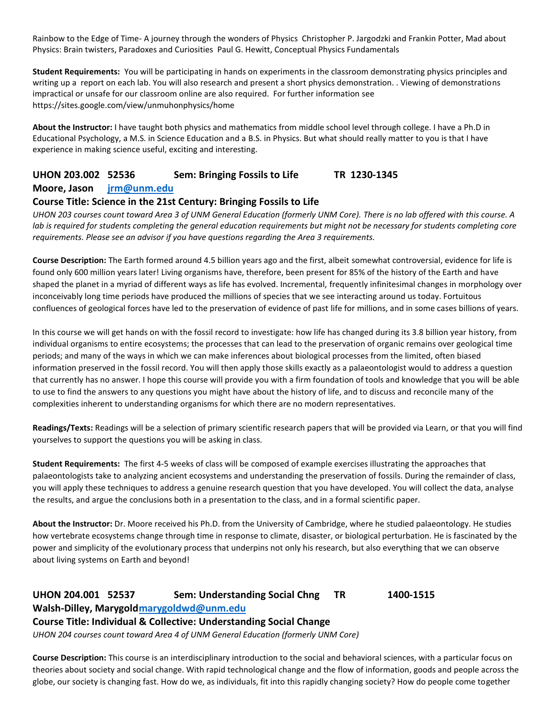Rainbow to the Edge of Time- A journey through the wonders of Physics Christopher P. Jargodzki and Frankin Potter, Mad about Physics: Brain twisters, Paradoxes and Curiosities Paul G. Hewitt, Conceptual Physics Fundamentals

**Student Requirements:** You will be participating in hands on experiments in the classroom demonstrating physics principles and writing up a report on each lab. You will also research and present a short physics demonstration. . Viewing of demonstrations impractical or unsafe for our classroom online are also required. For further information see https://sites.google.com/view/unmuhonphysics/home

**About the Instructor:** I have taught both physics and mathematics from middle school level through college. I have a Ph.D in Educational Psychology, a M.S. in Science Education and a B.S. in Physics. But what should really matter to you is that I have experience in making science useful, exciting and interesting.

# **UHON 203.002 52536 Sem: Bringing Fossils to Life TR 1230-1345**

#### **Moore, Jason [jrm@unm.edu](mailto:jrm@unm.edu)**

#### **Course Title: Science in the 21st Century: Bringing Fossils to Life**

*UHON 203 courses count toward Area 3 of UNM General Education (formerly UNM Core). There is no lab offered with this course. A*  lab is required for students completing the general education requirements but might not be necessary for students completing core *requirements. Please see an advisor if you have questions regarding the Area 3 requirements.*

**Course Description:** The Earth formed around 4.5 billion years ago and the first, albeit somewhat controversial, evidence for life is found only 600 million years later! Living organisms have, therefore, been present for 85% of the history of the Earth and have shaped the planet in a myriad of different ways as life has evolved. Incremental, frequently infinitesimal changes in morphology over inconceivably long time periods have produced the millions of species that we see interacting around us today. Fortuitous confluences of geological forces have led to the preservation of evidence of past life for millions, and in some cases billions of years.

In this course we will get hands on with the fossil record to investigate: how life has changed during its 3.8 billion year history, from individual organisms to entire ecosystems; the processes that can lead to the preservation of organic remains over geological time periods; and many of the ways in which we can make inferences about biological processes from the limited, often biased information preserved in the fossil record. You will then apply those skills exactly as a palaeontologist would to address a question that currently has no answer. I hope this course will provide you with a firm foundation of tools and knowledge that you will be able to use to find the answers to any questions you might have about the history of life, and to discuss and reconcile many of the complexities inherent to understanding organisms for which there are no modern representatives.

**Readings/Texts:** Readings will be a selection of primary scientific research papers that will be provided via Learn, or that you will find yourselves to support the questions you will be asking in class.

**Student Requirements:** The first 4-5 weeks of class will be composed of example exercises illustrating the approaches that palaeontologists take to analyzing ancient ecosystems and understanding the preservation of fossils. During the remainder of class, you will apply these techniques to address a genuine research question that you have developed. You will collect the data, analyse the results, and argue the conclusions both in a presentation to the class, and in a formal scientific paper.

**About the Instructor:** Dr. Moore received his Ph.D. from the University of Cambridge, where he studied palaeontology. He studies how vertebrate ecosystems change through time in response to climate, disaster, or biological perturbation. He is fascinated by the power and simplicity of the evolutionary process that underpins not only his research, but also everything that we can observe about living systems on Earth and beyond!

# **UHON 204.001 52537 Sem: Understanding Social Chng TR 1400-1515 Walsh-Dilley, Marygol[dmarygoldwd@unm.edu](mailto:marygoldwd@unm.edu)**

# **Course Title: Individual & Collective: Understanding Social Change**

*UHON 204 courses count toward Area 4 of UNM General Education (formerly UNM Core)*

**Course Description:** This course is an interdisciplinary introduction to the social and behavioral sciences, with a particular focus on theories about society and social change. With rapid technological change and the flow of information, goods and people across the globe, our society is changing fast. How do we, as individuals, fit into this rapidly changing society? How do people come together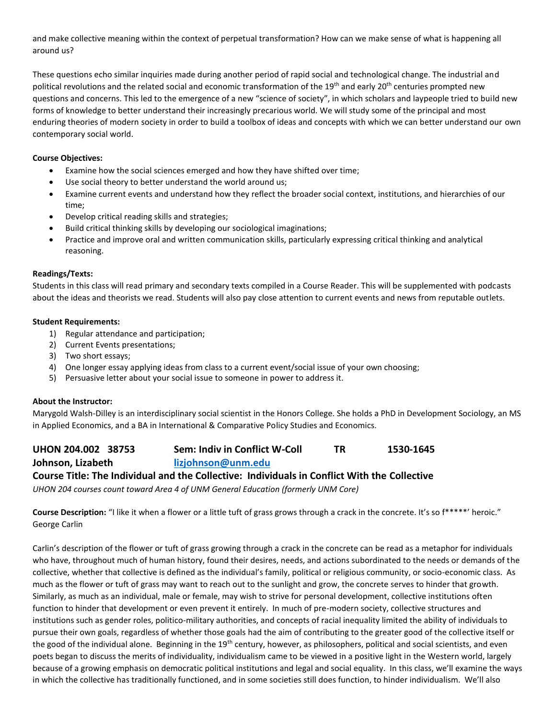and make collective meaning within the context of perpetual transformation? How can we make sense of what is happening all around us?

These questions echo similar inquiries made during another period of rapid social and technological change. The industrial and political revolutions and the related social and economic transformation of the 19<sup>th</sup> and early 20<sup>th</sup> centuries prompted new questions and concerns. This led to the emergence of a new "science of society", in which scholars and laypeople tried to build new forms of knowledge to better understand their increasingly precarious world. We will study some of the principal and most enduring theories of modern society in order to build a toolbox of ideas and concepts with which we can better understand our own contemporary social world.

#### **Course Objectives:**

- Examine how the social sciences emerged and how they have shifted over time;
- Use social theory to better understand the world around us;
- Examine current events and understand how they reflect the broader social context, institutions, and hierarchies of our time;
- Develop critical reading skills and strategies;
- Build critical thinking skills by developing our sociological imaginations;
- Practice and improve oral and written communication skills, particularly expressing critical thinking and analytical reasoning.

#### **Readings/Texts:**

Students in this class will read primary and secondary texts compiled in a Course Reader. This will be supplemented with podcasts about the ideas and theorists we read. Students will also pay close attention to current events and news from reputable outlets.

#### **Student Requirements:**

- 1) Regular attendance and participation;
- 2) Current Events presentations;
- 3) Two short essays;
- 4) One longer essay applying ideas from class to a current event/social issue of your own choosing;
- 5) Persuasive letter about your social issue to someone in power to address it.

#### **About the Instructor:**

Marygold Walsh-Dilley is an interdisciplinary social scientist in the Honors College. She holds a PhD in Development Sociology, an MS in Applied Economics, and a BA in International & Comparative Policy Studies and Economics.

**UHON 204.002 38753 Sem: Indiv in Conflict W-Coll TR 1530-1645 Johnson, Lizabeth [lizjohnson@unm.edu](mailto:lizjohnson@unm.edu) Course Title: The Individual and the Collective: Individuals in Conflict With the Collective**

*UHON 204 courses count toward Area 4 of UNM General Education (formerly UNM Core)*

**Course Description:** "I like it when a flower or a little tuft of grass grows through a crack in the concrete. It's so f\*\*\*\*\*' heroic." George Carlin

Carlin's description of the flower or tuft of grass growing through a crack in the concrete can be read as a metaphor for individuals who have, throughout much of human history, found their desires, needs, and actions subordinated to the needs or demands of the collective, whether that collective is defined as the individual's family, political or religious community, or socio-economic class. As much as the flower or tuft of grass may want to reach out to the sunlight and grow, the concrete serves to hinder that growth. Similarly, as much as an individual, male or female, may wish to strive for personal development, collective institutions often function to hinder that development or even prevent it entirely. In much of pre-modern society, collective structures and institutions such as gender roles, politico-military authorities, and concepts of racial inequality limited the ability of individuals to pursue their own goals, regardless of whether those goals had the aim of contributing to the greater good of the collective itself or the good of the individual alone. Beginning in the 19<sup>th</sup> century, however, as philosophers, political and social scientists, and even poets began to discuss the merits of individuality, individualism came to be viewed in a positive light in the Western world, largely because of a growing emphasis on democratic political institutions and legal and social equality. In this class, we'll examine the ways in which the collective has traditionally functioned, and in some societies still does function, to hinder individualism. We'll also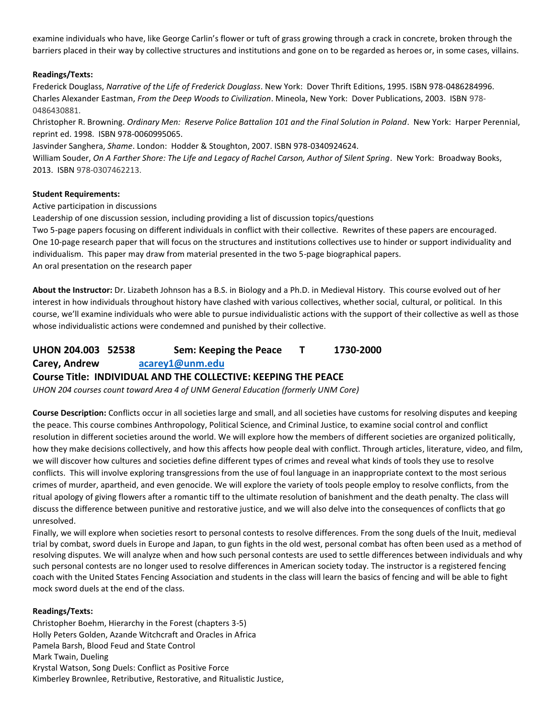examine individuals who have, like George Carlin's flower or tuft of grass growing through a crack in concrete, broken through the barriers placed in their way by collective structures and institutions and gone on to be regarded as heroes or, in some cases, villains.

#### **Readings/Texts:**

Frederick Douglass, *Narrative of the Life of Frederick Douglass*. New York: Dover Thrift Editions, 1995. ISBN 978-0486284996. Charles Alexander Eastman, *From the Deep Woods to Civilization*. Mineola, New York: Dover Publications, 2003. ISBN 978- 0486430881.

Christopher R. Browning. *Ordinary Men: Reserve Police Battalion 101 and the Final Solution in Poland*. New York: Harper Perennial, reprint ed. 1998. ISBN 978-0060995065.

Jasvinder Sanghera, *Shame*. London: Hodder & Stoughton, 2007. ISBN 978-0340924624.

William Souder, *On A Farther Shore: The Life and Legacy of Rachel Carson, Author of Silent Spring*. New York: Broadway Books, 2013. ISBN 978-0307462213.

#### **Student Requirements:**

Active participation in discussions

Leadership of one discussion session, including providing a list of discussion topics/questions

Two 5-page papers focusing on different individuals in conflict with their collective. Rewrites of these papers are encouraged. One 10-page research paper that will focus on the structures and institutions collectives use to hinder or support individuality and individualism. This paper may draw from material presented in the two 5-page biographical papers. An oral presentation on the research paper

**About the Instructor:** Dr. Lizabeth Johnson has a B.S. in Biology and a Ph.D. in Medieval History. This course evolved out of her interest in how individuals throughout history have clashed with various collectives, whether social, cultural, or political. In this course, we'll examine individuals who were able to pursue individualistic actions with the support of their collective as well as those whose individualistic actions were condemned and punished by their collective.

# **UHON 204.003 52538 Sem: Keeping the Peace T 1730-2000 Carey, Andrew [acarey1@unm.edu](mailto:acarey1@unm.edu)**

#### **Course Title: INDIVIDUAL AND THE COLLECTIVE: KEEPING THE PEACE**

*UHON 204 courses count toward Area 4 of UNM General Education (formerly UNM Core)*

**Course Description:** Conflicts occur in all societies large and small, and all societies have customs for resolving disputes and keeping the peace. This course combines Anthropology, Political Science, and Criminal Justice, to examine social control and conflict resolution in different societies around the world. We will explore how the members of different societies are organized politically, how they make decisions collectively, and how this affects how people deal with conflict. Through articles, literature, video, and film, we will discover how cultures and societies define different types of crimes and reveal what kinds of tools they use to resolve conflicts. This will involve exploring transgressions from the use of foul language in an inappropriate context to the most serious crimes of murder, apartheid, and even genocide. We will explore the variety of tools people employ to resolve conflicts, from the ritual apology of giving flowers after a romantic tiff to the ultimate resolution of banishment and the death penalty. The class will discuss the difference between punitive and restorative justice, and we will also delve into the consequences of conflicts that go unresolved.

Finally, we will explore when societies resort to personal contests to resolve differences. From the song duels of the Inuit, medieval trial by combat, sword duels in Europe and Japan, to gun fights in the old west, personal combat has often been used as a method of resolving disputes. We will analyze when and how such personal contests are used to settle differences between individuals and why such personal contests are no longer used to resolve differences in American society today. The instructor is a registered fencing coach with the United States Fencing Association and students in the class will learn the basics of fencing and will be able to fight mock sword duels at the end of the class.

#### **Readings/Texts:**

Christopher Boehm, Hierarchy in the Forest (chapters 3-5) Holly Peters Golden, Azande Witchcraft and Oracles in Africa Pamela Barsh, Blood Feud and State Control Mark Twain, Dueling Krystal Watson, Song Duels: Conflict as Positive Force Kimberley Brownlee, Retributive, Restorative, and Ritualistic Justice,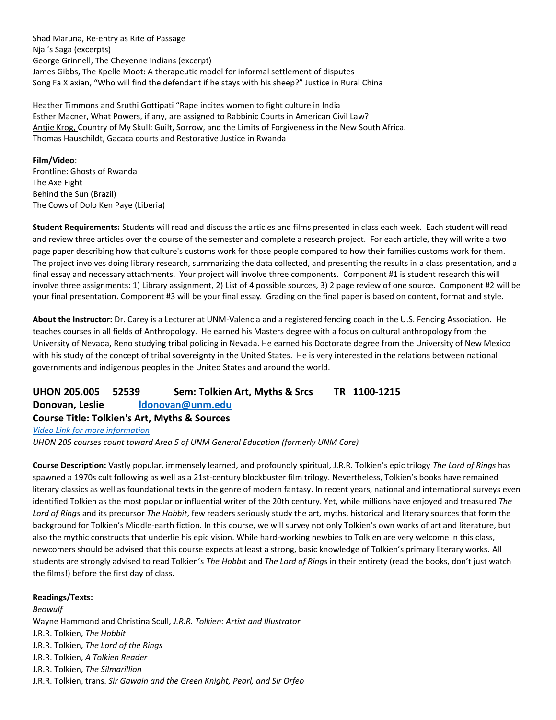Shad Maruna, Re-entry as Rite of Passage Njal's Saga (excerpts) George Grinnell, The Cheyenne Indians (excerpt) James Gibbs, The Kpelle Moot: A therapeutic model for informal settlement of disputes Song Fa Xiaxian, "Who will find the defendant if he stays with his sheep?" Justice in Rural China

Heather Timmons and Sruthi Gottipati "Rape incites women to fight culture in India Esther Macner, What Powers, if any, are assigned to Rabbinic Courts in American Civil Law? [Antjie Krog,](http://www.amazon.com/Antjie-Krog/e/B001JS06SI/ref=dp_byline_cont_book_1) Country of My Skull: Guilt, Sorrow, and the Limits of Forgiveness in the New South Africa. Thomas Hauschildt, Gacaca courts and Restorative Justice in Rwanda

**Film/Video**: Frontline: Ghosts of Rwanda The Axe Fight Behind the Sun (Brazil) The Cows of Dolo Ken Paye (Liberia)

**Student Requirements:** Students will read and discuss the articles and films presented in class each week. Each student will read and review three articles over the course of the semester and complete a research project. For each article, they will write a two page paper describing how that culture's customs work for those people compared to how their families customs work for them. The project involves doing library research, summarizing the data collected, and presenting the results in a class presentation, and a final essay and necessary attachments. Your project will involve three components. Component #1 is student research this will involve three assignments: 1) Library assignment, 2) List of 4 possible sources, 3) 2 page review of one source. Component #2 will be your final presentation. Component #3 will be your final essay. Grading on the final paper is based on content, format and style.

**About the Instructor:** Dr. Carey is a Lecturer at UNM-Valencia and a registered fencing coach in the U.S. Fencing Association. He teaches courses in all fields of Anthropology. He earned his Masters degree with a focus on cultural anthropology from the University of Nevada, Reno studying tribal policing in Nevada. He earned his Doctorate degree from the University of New Mexico with his study of the concept of tribal sovereignty in the United States. He is very interested in the relations between national governments and indigenous peoples in the United States and around the world.

**UHON 205.005 52539 Sem: Tolkien Art, Myths & Srcs TR 1100-1215 Donovan, Leslie [ldonovan@unm.edu](mailto:ldonovan@unm.edu)**

#### **Course Title: Tolkien's Art, Myths & Sources**

*[Video Link for more information](file://///unmcifs.unm.edu/HC/Shared/Academic%20Advisor/SCHEDULING/SP20/Preview%20Night%20video/Tolkien)*

*UHON 205 courses count toward Area 5 of UNM General Education (formerly UNM Core)*

**Course Description:** Vastly popular, immensely learned, and profoundly spiritual, J.R.R. Tolkien's epic trilogy *The Lord of Rings* has spawned a 1970s cult following as well as a 21st-century blockbuster film trilogy. Nevertheless, Tolkien's books have remained literary classics as well as foundational texts in the genre of modern fantasy. In recent years, national and international surveys even identified Tolkien as the most popular or influential writer of the 20th century. Yet, while millions have enjoyed and treasured *The Lord of Rings* and its precursor *The Hobbit*, few readers seriously study the art, myths, historical and literary sources that form the background for Tolkien's Middle-earth fiction. In this course, we will survey not only Tolkien's own works of art and literature, but also the mythic constructs that underlie his epic vision. While hard-working newbies to Tolkien are very welcome in this class, newcomers should be advised that this course expects at least a strong, basic knowledge of Tolkien's primary literary works. All students are strongly advised to read Tolkien's *The Hobbit* and *The Lord of Rings* in their entirety (read the books, don't just watch the films!) before the first day of class.

#### **Readings/Texts:**

*Beowulf* Wayne Hammond and Christina Scull, *J.R.R. Tolkien: Artist and Illustrator* J.R.R. Tolkien, *The Hobbit* J.R.R. Tolkien, *The Lord of the Rings* J.R.R. Tolkien, *A Tolkien Reader* J.R.R. Tolkien, *The Silmarillion* J.R.R. Tolkien, trans. *Sir Gawain and the Green Knight, Pearl, and Sir Orfeo*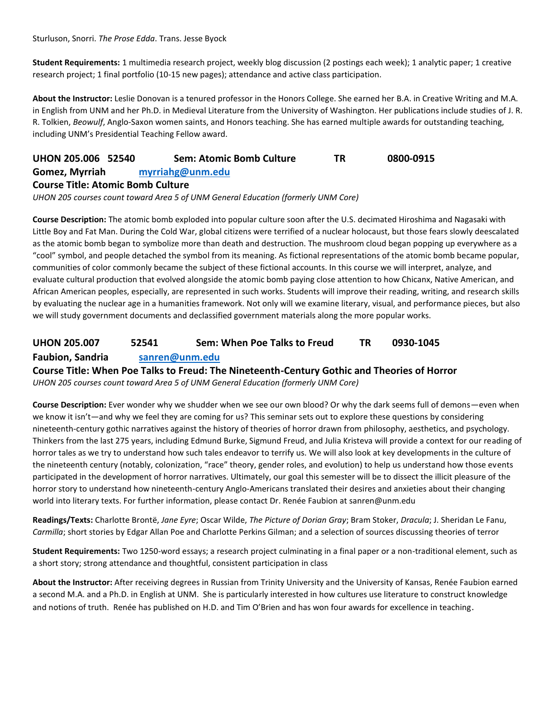Sturluson, Snorri. *The Prose Edda*. Trans. Jesse Byock

**Student Requirements:** 1 multimedia research project, weekly blog discussion (2 postings each week); 1 analytic paper; 1 creative research project; 1 final portfolio (10-15 new pages); attendance and active class participation.

**About the Instructor:** Leslie Donovan is a tenured professor in the Honors College. She earned her B.A. in Creative Writing and M.A. in English from UNM and her Ph.D. in Medieval Literature from the University of Washington. Her publications include studies of J. R. R. Tolkien, *Beowulf*, Anglo-Saxon women saints, and Honors teaching. She has earned multiple awards for outstanding teaching, including UNM's Presidential Teaching Fellow award.

| UHON 205.006 52540                       | <b>Sem: Atomic Bomb Culture</b> | ΤR | 0800-0915 |
|------------------------------------------|---------------------------------|----|-----------|
| Gomez, Myrriah                           | myrriahg@unm.edu                |    |           |
| <b>Course Title: Atomic Bomb Culture</b> |                                 |    |           |

*UHON 205 courses count toward Area 5 of UNM General Education (formerly UNM Core)*

**Course Description:** The atomic bomb exploded into popular culture soon after the U.S. decimated Hiroshima and Nagasaki with Little Boy and Fat Man. During the Cold War, global citizens were terrified of a nuclear holocaust, but those fears slowly deescalated as the atomic bomb began to symbolize more than death and destruction. The mushroom cloud began popping up everywhere as a "cool" symbol, and people detached the symbol from its meaning. As fictional representations of the atomic bomb became popular, communities of color commonly became the subject of these fictional accounts. In this course we will interpret, analyze, and evaluate cultural production that evolved alongside the atomic bomb paying close attention to how Chicanx, Native American, and African American peoples, especially, are represented in such works. Students will improve their reading, writing, and research skills by evaluating the nuclear age in a humanities framework. Not only will we examine literary, visual, and performance pieces, but also we will study government documents and declassified government materials along the more popular works.

# **UHON 205.007 52541 Sem: When Poe Talks to Freud TR 0930-1045 Faubion, Sandria [sanren@unm.edu](mailto:sanren@unm.edu)**

**Course Title: When Poe Talks to Freud: The Nineteenth-Century Gothic and Theories of Horror**

*UHON 205 courses count toward Area 5 of UNM General Education (formerly UNM Core)*

**Course Description:** Ever wonder why we shudder when we see our own blood? Or why the dark seems full of demons—even when we know it isn't—and why we feel they are coming for us? This seminar sets out to explore these questions by considering nineteenth-century gothic narratives against the history of theories of horror drawn from philosophy, aesthetics, and psychology. Thinkers from the last 275 years, including Edmund Burke, Sigmund Freud, and Julia Kristeva will provide a context for our reading of horror tales as we try to understand how such tales endeavor to terrify us. We will also look at key developments in the culture of the nineteenth century (notably, colonization, "race" theory, gender roles, and evolution) to help us understand how those events participated in the development of horror narratives. Ultimately, our goal this semester will be to dissect the illicit pleasure of the horror story to understand how nineteenth-century Anglo-Americans translated their desires and anxieties about their changing world into literary texts. For further information, please contact Dr. Renée Faubion at sanren@unm.edu

**Readings/Texts:** Charlotte Brontë, *Jane Eyre*; Oscar Wilde, *The Picture of Dorian Gray*; Bram Stoker, *Dracula*; J. Sheridan Le Fanu, *Carmilla*; short stories by Edgar Allan Poe and Charlotte Perkins Gilman; and a selection of sources discussing theories of terror

**Student Requirements:** Two 1250-word essays; a research project culminating in a final paper or a non-traditional element, such as a short story; strong attendance and thoughtful, consistent participation in class

**About the Instructor:** After receiving degrees in Russian from Trinity University and the University of Kansas, Renée Faubion earned a second M.A. and a Ph.D. in English at UNM. She is particularly interested in how cultures use literature to construct knowledge and notions of truth. Renée has published on H.D. and Tim O'Brien and has won four awards for excellence in teaching.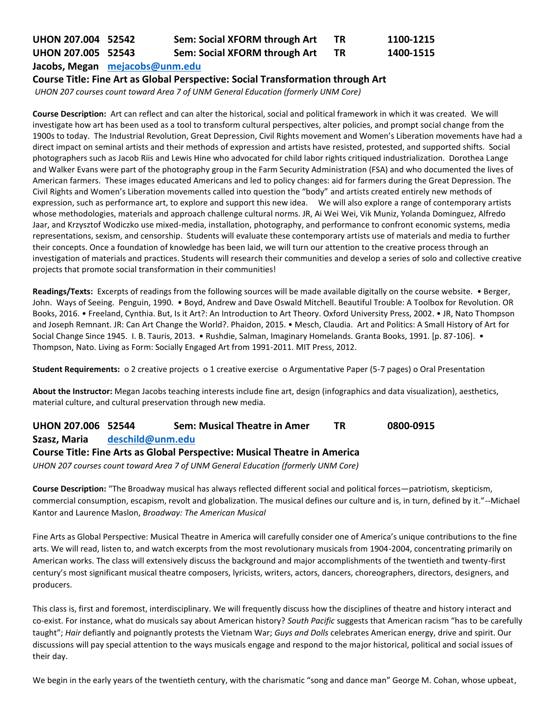# **UHON 207.004 52542 Sem: Social XFORM through Art TR 1100-1215**

# **UHON 207.005 52543 Sem: Social XFORM through Art TR 1400-1515**

**Jacobs, Megan [mejacobs@unm.edu](mailto:mejacobs@unm.edu)**

#### **Course Title: Fine Art as Global Perspective: Social Transformation through Art**

*UHON 207 courses count toward Area 7 of UNM General Education (formerly UNM Core)*

**Course Description:** Art can reflect and can alter the historical, social and political framework in which it was created. We will investigate how art has been used as a tool to transform cultural perspectives, alter policies, and prompt social change from the 1900s to today. The Industrial Revolution, Great Depression, Civil Rights movement and Women's Liberation movements have had a direct impact on seminal artists and their methods of expression and artists have resisted, protested, and supported shifts. Social photographers such as Jacob Riis and Lewis Hine who advocated for child labor rights critiqued industrialization. Dorothea Lange and Walker Evans were part of the photography group in the Farm Security Administration (FSA) and who documented the lives of American farmers. These images educated Americans and led to policy changes: aid for farmers during the Great Depression. The Civil Rights and Women's Liberation movements called into question the "body" and artists created entirely new methods of expression, such as performance art, to explore and support this new idea. We will also explore a range of contemporary artists whose methodologies, materials and approach challenge cultural norms. JR, Ai Wei Wei, Vik Muniz, Yolanda Dominguez, Alfredo Jaar, and Krzysztof Wodiczko use mixed-media, installation, photography, and performance to confront economic systems, media representations, sexism, and censorship. Students will evaluate these contemporary artists use of materials and media to further their concepts. Once a foundation of knowledge has been laid, we will turn our attention to the creative process through an investigation of materials and practices. Students will research their communities and develop a series of solo and collective creative projects that promote social transformation in their communities!

**Readings/Texts:** Excerpts of readings from the following sources will be made available digitally on the course website. • Berger, John. Ways of Seeing. Penguin, 1990. • Boyd, Andrew and Dave Oswald Mitchell. Beautiful Trouble: A Toolbox for Revolution. OR Books, 2016. • Freeland, Cynthia. But, Is it Art?: An Introduction to Art Theory. Oxford University Press, 2002. • JR, Nato Thompson and Joseph Remnant. JR: Can Art Change the World?. Phaidon, 2015. • Mesch, Claudia. Art and Politics: A Small History of Art for Social Change Since 1945. I. B. Tauris, 2013. • Rushdie, Salman, Imaginary Homelands. Granta Books, 1991. [p. 87-106]. • Thompson, Nato. Living as Form: Socially Engaged Art from 1991-2011. MIT Press, 2012.

**Student Requirements:** o 2 creative projects o 1 creative exercise o Argumentative Paper (5-7 pages) o Oral Presentation

**About the Instructor:** Megan Jacobs teaching interests include fine art, design (infographics and data visualization), aesthetics, material culture, and cultural preservation through new media.

# **UHON 207.006 52544 Sem: Musical Theatre in Amer TR 0800-0915**

**Szasz, Maria [deschild@unm.edu](mailto:deschild@unm.edu)**

# **Course Title: Fine Arts as Global Perspective: Musical Theatre in America**

*UHON 207 courses count toward Area 7 of UNM General Education (formerly UNM Core)*

**Course Description:** "The Broadway musical has always reflected different social and political forces—patriotism, skepticism, commercial consumption, escapism, revolt and globalization. The musical defines our culture and is, in turn, defined by it."--Michael Kantor and Laurence Maslon, *Broadway: The American Musical*

Fine Arts as Global Perspective: Musical Theatre in America will carefully consider one of America's unique contributions to the fine arts. We will read, listen to, and watch excerpts from the most revolutionary musicals from 1904-2004, concentrating primarily on American works. The class will extensively discuss the background and major accomplishments of the twentieth and twenty-first century's most significant musical theatre composers, lyricists, writers, actors, dancers, choreographers, directors, designers, and producers.

This class is, first and foremost, interdisciplinary. We will frequently discuss how the disciplines of theatre and history interact and co-exist. For instance, what do musicals say about American history? *South Pacific* suggests that American racism "has to be carefully taught"; *Hair* defiantly and poignantly protests the Vietnam War; *Guys and Dolls* celebrates American energy, drive and spirit. Our discussions will pay special attention to the ways musicals engage and respond to the major historical, political and social issues of their day.

We begin in the early years of the twentieth century, with the charismatic "song and dance man" George M. Cohan, whose upbeat,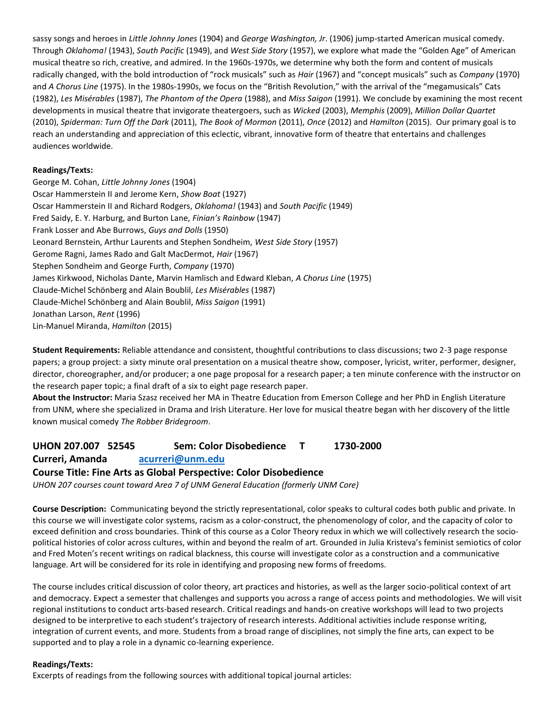sassy songs and heroes in *Little Johnny Jones* (1904) and *George Washington, Jr*. (1906) jump-started American musical comedy. Through *Oklahoma!* (1943), *South Pacific* (1949), and *West Side Story* (1957), we explore what made the "Golden Age" of American musical theatre so rich, creative, and admired. In the 1960s-1970s, we determine why both the form and content of musicals radically changed, with the bold introduction of "rock musicals" such as *Hair* (1967) and "concept musicals" such as *Company* (1970) and *A Chorus Line* (1975). In the 1980s-1990s, we focus on the "British Revolution," with the arrival of the "megamusicals" Cats (1982), *Les Misérables* (1987), *The Phantom of the Opera* (1988), and *Miss Saigon* (1991). We conclude by examining the most recent developments in musical theatre that invigorate theatergoers, such as *Wicked* (2003), *Memphis* (2009), *Million Dollar Quartet* (2010), *Spiderman: Turn Off the Dark* (2011), *The Book of Mormon* (2011), *Once* (2012) and *Hamilton* (2015). Our primary goal is to reach an understanding and appreciation of this eclectic, vibrant, innovative form of theatre that entertains and challenges audiences worldwide.

#### **Readings/Texts:**

George M. Cohan, *Little Johnny Jones* (1904) Oscar Hammerstein II and Jerome Kern, *Show Boat* (1927) Oscar Hammerstein II and Richard Rodgers, *Oklahoma!* (1943) and *South Pacific* (1949) Fred Saidy, E. Y. Harburg, and Burton Lane, *Finian's Rainbow* (1947) Frank Losser and Abe Burrows, *Guys and Dolls* (1950) Leonard Bernstein, Arthur Laurents and Stephen Sondheim, *West Side Story* (1957) Gerome Ragni, James Rado and Galt MacDermot, *Hair* (1967) Stephen Sondheim and George Furth, *Company* (1970) James Kirkwood, Nicholas Dante, Marvin Hamlisch and Edward Kleban, *A Chorus Line* (1975) Claude-Michel Schönberg and Alain Boublil, *Les Misérables* (1987) Claude-Michel Schönberg and Alain Boublil, *Miss Saigon* (1991) Jonathan Larson, *Rent* (1996) Lin-Manuel Miranda, *Hamilton* (2015)

**Student Requirements:** Reliable attendance and consistent, thoughtful contributions to class discussions; two 2-3 page response papers; a group project: a sixty minute oral presentation on a musical theatre show, composer, lyricist, writer, performer, designer, director, choreographer, and/or producer; a one page proposal for a research paper; a ten minute conference with the instructor on the research paper topic; a final draft of a six to eight page research paper.

**About the Instructor:** Maria Szasz received her MA in Theatre Education from Emerson College and her PhD in English Literature from UNM, where she specialized in Drama and Irish Literature. Her love for musical theatre began with her discovery of the little known musical comedy *The Robber Bridegroom*.

# **UHON 207.007 52545 Sem: Color Disobedience T 1730-2000**

#### **Curreri, Amanda [acurreri@unm.edu](mailto:acurreri@unm.edu)**

#### **Course Title: Fine Arts as Global Perspective: Color Disobedience**

*UHON 207 courses count toward Area 7 of UNM General Education (formerly UNM Core)*

**Course Description:** Communicating beyond the strictly representational, color speaks to cultural codes both public and private. In this course we will investigate color systems, racism as a color-construct, the phenomenology of color, and the capacity of color to exceed definition and cross boundaries. Think of this course as a Color Theory redux in which we will collectively research the sociopolitical histories of color across cultures, within and beyond the realm of art. Grounded in Julia Kristeva's feminist semiotics of color and Fred Moten's recent writings on radical blackness, this course will investigate color as a construction and a communicative language. Art will be considered for its role in identifying and proposing new forms of freedoms.

The course includes critical discussion of color theory, art practices and histories, as well as the larger socio-political context of art and democracy. Expect a semester that challenges and supports you across a range of access points and methodologies. We will visit regional institutions to conduct arts-based research. Critical readings and hands-on creative workshops will lead to two projects designed to be interpretive to each student's trajectory of research interests. Additional activities include response writing, integration of current events, and more. Students from a broad range of disciplines, not simply the fine arts, can expect to be supported and to play a role in a dynamic co-learning experience.

#### **Readings/Texts:**

Excerpts of readings from the following sources with additional topical journal articles: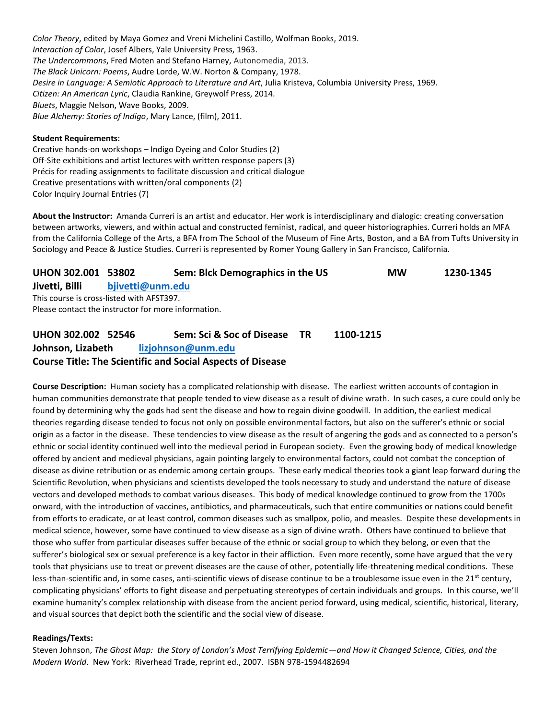*Color Theory*, edited by Maya Gomez and Vreni Michelini Castillo, Wolfman Books, 2019. *Interaction of Color*, Josef Albers, Yale University Press, 1963. *The Undercommons*, Fred Moten and Stefano Harney, Autonomedia, 2013. *The Black Unicorn: Poems*, Audre Lorde, W.W. Norton & Company, 1978. *Desire in Language: A Semiotic Approach to Literature and Art*, Julia Kristeva, Columbia University Press, 1969. *Citizen: An American Lyric*, Claudia Rankine, Greywolf Press, 2014. *Bluets*, Maggie Nelson, Wave Books, 2009. *Blue Alchemy: Stories of Indigo*, Mary Lance, (film), 2011.

#### **Student Requirements:**

Creative hands-on workshops – Indigo Dyeing and Color Studies (2) Off-Site exhibitions and artist lectures with written response papers (3) Précis for reading assignments to facilitate discussion and critical dialogue Creative presentations with written/oral components (2) Color Inquiry Journal Entries (7)

**About the Instructor:** Amanda Curreri is an artist and educator. Her work is interdisciplinary and dialogic: creating conversation between artworks, viewers, and within actual and constructed feminist, radical, and queer historiographies. Curreri holds an MFA from the California College of the Arts, a BFA from The School of the Museum of Fine Arts, Boston, and a BA from Tufts University in Sociology and Peace & Justice Studies. Curreri is represented by Romer Young Gallery in San Francisco, California.

| UHON 302.001 53802                                  |                  | Sem: Blck Demographics in the US | <b>MW</b> | 1230-1345 |
|-----------------------------------------------------|------------------|----------------------------------|-----------|-----------|
| Jivetti, Billi                                      | bjivetti@unm.edu |                                  |           |           |
| This course is cross-listed with AFST397.           |                  |                                  |           |           |
| Please contact the instructor for more information. |                  |                                  |           |           |

# **UHON 302.002 52546 Sem: Sci & Soc of Disease TR 1100-1215 Johnson, Lizabeth [lizjohnson@unm.edu](mailto:lizjohnson@unm.edu) Course Title: The Scientific and Social Aspects of Disease**

**Course Description:** Human society has a complicated relationship with disease. The earliest written accounts of contagion in human communities demonstrate that people tended to view disease as a result of divine wrath. In such cases, a cure could only be found by determining why the gods had sent the disease and how to regain divine goodwill. In addition, the earliest medical theories regarding disease tended to focus not only on possible environmental factors, but also on the sufferer's ethnic or social origin as a factor in the disease. These tendencies to view disease as the result of angering the gods and as connected to a person's ethnic or social identity continued well into the medieval period in European society. Even the growing body of medical knowledge offered by ancient and medieval physicians, again pointing largely to environmental factors, could not combat the conception of disease as divine retribution or as endemic among certain groups. These early medical theories took a giant leap forward during the Scientific Revolution, when physicians and scientists developed the tools necessary to study and understand the nature of disease vectors and developed methods to combat various diseases. This body of medical knowledge continued to grow from the 1700s onward, with the introduction of vaccines, antibiotics, and pharmaceuticals, such that entire communities or nations could benefit from efforts to eradicate, or at least control, common diseases such as smallpox, polio, and measles. Despite these developments in medical science, however, some have continued to view disease as a sign of divine wrath. Others have continued to believe that those who suffer from particular diseases suffer because of the ethnic or social group to which they belong, or even that the sufferer's biological sex or sexual preference is a key factor in their affliction. Even more recently, some have argued that the very tools that physicians use to treat or prevent diseases are the cause of other, potentially life-threatening medical conditions. These less-than-scientific and, in some cases, anti-scientific views of disease continue to be a troublesome issue even in the 21<sup>st</sup> century, complicating physicians' efforts to fight disease and perpetuating stereotypes of certain individuals and groups. In this course, we'll examine humanity's complex relationship with disease from the ancient period forward, using medical, scientific, historical, literary, and visual sources that depict both the scientific and the social view of disease.

#### **Readings/Texts:**

Steven Johnson, *The Ghost Map: the Story of London's Most Terrifying Epidemic—and How it Changed Science, Cities, and the Modern World*. New York: Riverhead Trade, reprint ed., 2007. ISBN 978-1594482694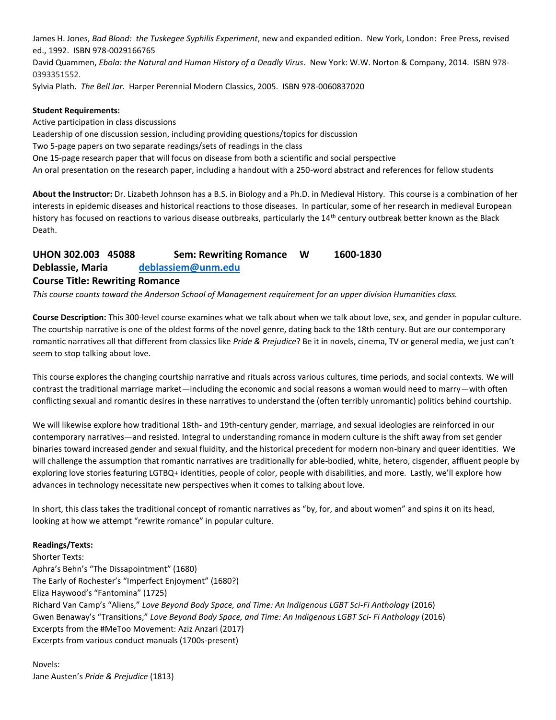James H. Jones, *Bad Blood: the Tuskegee Syphilis Experiment*, new and expanded edition. New York, London: Free Press, revised ed., 1992. ISBN 978-0029166765

David Quammen, *Ebola: the Natural and Human History of a Deadly Virus*. New York: W.W. Norton & Company, 2014. ISBN 978- 0393351552.

Sylvia Plath. *The Bell Jar*. Harper Perennial Modern Classics, 2005. ISBN 978-0060837020

#### **Student Requirements:**

Active participation in class discussions Leadership of one discussion session, including providing questions/topics for discussion Two 5-page papers on two separate readings/sets of readings in the class One 15-page research paper that will focus on disease from both a scientific and social perspective An oral presentation on the research paper, including a handout with a 250-word abstract and references for fellow students

**About the Instructor:** Dr. Lizabeth Johnson has a B.S. in Biology and a Ph.D. in Medieval History. This course is a combination of her interests in epidemic diseases and historical reactions to those diseases. In particular, some of her research in medieval European history has focused on reactions to various disease outbreaks, particularly the 14<sup>th</sup> century outbreak better known as the Black Death.

# **UHON 302.003 45088 Sem: Rewriting Romance W 1600-1830**

**Deblassie, Maria [deblassiem@unm.edu](mailto:deblassiem@unm.edu)**

#### **Course Title: Rewriting Romance**

*This course counts toward the Anderson School of Management requirement for an upper division Humanities class.*

**Course Description:** This 300-level course examines what we talk about when we talk about love, sex, and gender in popular culture. The courtship narrative is one of the oldest forms of the novel genre, dating back to the 18th century. But are our contemporary romantic narratives all that different from classics like *Pride & Prejudice*? Be it in novels, cinema, TV or general media, we just can't seem to stop talking about love.

This course explores the changing courtship narrative and rituals across various cultures, time periods, and social contexts. We will contrast the traditional marriage market—including the economic and social reasons a woman would need to marry—with often conflicting sexual and romantic desires in these narratives to understand the (often terribly unromantic) politics behind courtship.

We will likewise explore how traditional 18th- and 19th-century gender, marriage, and sexual ideologies are reinforced in our contemporary narratives—and resisted. Integral to understanding romance in modern culture is the shift away from set gender binaries toward increased gender and sexual fluidity, and the historical precedent for modern non-binary and queer identities. We will challenge the assumption that romantic narratives are traditionally for able-bodied, white, hetero, cisgender, affluent people by exploring love stories featuring LGTBQ+ identities, people of color, people with disabilities, and more. Lastly, we'll explore how advances in technology necessitate new perspectives when it comes to talking about love.

In short, this class takes the traditional concept of romantic narratives as "by, for, and about women" and spins it on its head, looking at how we attempt "rewrite romance" in popular culture.

#### **Readings/Texts:**

Shorter Texts: Aphra's Behn's "The Dissapointment" (1680) The Early of Rochester's "Imperfect Enjoyment" (1680?) Eliza Haywood's "Fantomina" (1725) Richard Van Camp's "Aliens," *Love Beyond Body Space, and Time: An Indigenous LGBT Sci-Fi Anthology* (2016) Gwen Benaway's "Transitions," *Love Beyond Body Space, and Time: An Indigenous LGBT Sci- Fi Anthology* (2016) Excerpts from the #MeToo Movement: Aziz Anzari (2017) Excerpts from various conduct manuals (1700s-present)

#### Novels: Jane Austen's *Pride & Prejudice* (1813)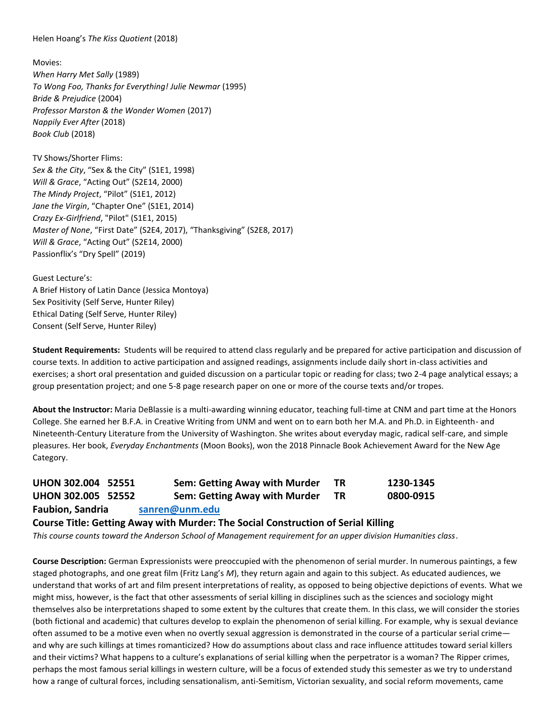Helen Hoang's *The Kiss Quotient* (2018)

Movies: *When Harry Met Sally* (1989) *To Wong Foo, Thanks for Everything! Julie Newmar* (1995) *Bride & Prejudice* (2004) *Professor Marston & the Wonder Women* (2017) *Nappily Ever After* (2018) *Book Club* (2018)

TV Shows/Shorter Flims: *Sex & the City*, "Sex & the City" (S1E1, 1998) *Will & Grace*, "Acting Out" (S2E14, 2000) *The Mindy Project*, "Pilot" (S1E1, 2012) *Jane the Virgin*, "Chapter One" (S1E1, 2014) *Crazy Ex-Girlfriend*, "Pilot" (S1E1, 2015) *Master of None*, "First Date" (S2E4, 2017), "Thanksgiving" (S2E8, 2017) *Will & Grace*, "Acting Out" (S2E14, 2000) Passionflix's "Dry Spell" (2019)

Guest Lecture's: A Brief History of Latin Dance (Jessica Montoya) Sex Positivity (Self Serve, Hunter Riley) Ethical Dating (Self Serve, Hunter Riley) Consent (Self Serve, Hunter Riley)

**Student Requirements:** Students will be required to attend class regularly and be prepared for active participation and discussion of course texts. In addition to active participation and assigned readings, assignments include daily short in-class activities and exercises; a short oral presentation and guided discussion on a particular topic or reading for class; two 2-4 page analytical essays; a group presentation project; and one 5-8 page research paper on one or more of the course texts and/or tropes.

**About the Instructor:** Maria DeBlassie is a multi-awarding winning educator, teaching full-time at CNM and part time at the Honors College. She earned her B.F.A. in Creative Writing from UNM and went on to earn both her M.A. and Ph.D. in Eighteenth- and Nineteenth-Century Literature from the University of Washington. She writes about everyday magic, radical self-care, and simple pleasures. Her book, *Everyday Enchantments* (Moon Books), won the 2018 Pinnacle Book Achievement Award for the New Age Category.

| UHON 302.004 52551                                                                |  | Sem: Getting Away with Murder | <b>TR</b> | 1230-1345 |  |  |
|-----------------------------------------------------------------------------------|--|-------------------------------|-----------|-----------|--|--|
| UHON 302.005 52552                                                                |  | Sem: Getting Away with Murder | ΤR        | 0800-0915 |  |  |
| <b>Faubion, Sandria</b><br>sanren@unm.edu                                         |  |                               |           |           |  |  |
| Course Title: Getting Away with Murder: The Social Construction of Serial Killing |  |                               |           |           |  |  |

*This course counts toward the Anderson School of Management requirement for an upper division Humanities class*.

**Course Description:** German Expressionists were preoccupied with the phenomenon of serial murder. In numerous paintings, a few staged photographs, and one great film (Fritz Lang's *M*), they return again and again to this subject. As educated audiences, we understand that works of art and film present interpretations of reality, as opposed to being objective depictions of events. What we might miss, however, is the fact that other assessments of serial killing in disciplines such as the sciences and sociology might themselves also be interpretations shaped to some extent by the cultures that create them. In this class, we will consider the stories (both fictional and academic) that cultures develop to explain the phenomenon of serial killing. For example, why is sexual deviance often assumed to be a motive even when no overtly sexual aggression is demonstrated in the course of a particular serial crime and why are such killings at times romanticized? How do assumptions about class and race influence attitudes toward serial killers and their victims? What happens to a culture's explanations of serial killing when the perpetrator is a woman? The Ripper crimes, perhaps the most famous serial killings in western culture, will be a focus of extended study this semester as we try to understand how a range of cultural forces, including sensationalism, anti-Semitism, Victorian sexuality, and social reform movements, came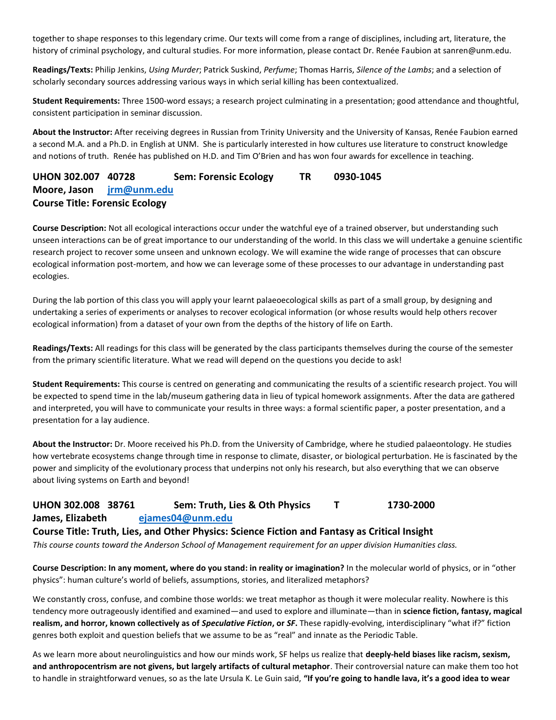together to shape responses to this legendary crime. Our texts will come from a range of disciplines, including art, literature, the history of criminal psychology, and cultural studies. For more information, please contact Dr. Renée Faubion at sanren@unm.edu.

**Readings/Texts:** Philip Jenkins, *Using Murder*; Patrick Suskind, *Perfume*; Thomas Harris, *Silence of the Lambs*; and a selection of scholarly secondary sources addressing various ways in which serial killing has been contextualized.

**Student Requirements:** Three 1500-word essays; a research project culminating in a presentation; good attendance and thoughtful, consistent participation in seminar discussion.

**About the Instructor:** After receiving degrees in Russian from Trinity University and the University of Kansas, Renée Faubion earned a second M.A. and a Ph.D. in English at UNM. She is particularly interested in how cultures use literature to construct knowledge and notions of truth. Renée has published on H.D. and Tim O'Brien and has won four awards for excellence in teaching.

# **UHON 302.007 40728 Sem: Forensic Ecology TR 0930-1045 Moore, Jason [jrm@unm.edu](mailto:jrm@unm.edu) Course Title: Forensic Ecology**

**Course Description:** Not all ecological interactions occur under the watchful eye of a trained observer, but understanding such unseen interactions can be of great importance to our understanding of the world. In this class we will undertake a genuine scientific research project to recover some unseen and unknown ecology. We will examine the wide range of processes that can obscure ecological information post-mortem, and how we can leverage some of these processes to our advantage in understanding past ecologies.

During the lab portion of this class you will apply your learnt palaeoecological skills as part of a small group, by designing and undertaking a series of experiments or analyses to recover ecological information (or whose results would help others recover ecological information) from a dataset of your own from the depths of the history of life on Earth.

**Readings/Texts:** All readings for this class will be generated by the class participants themselves during the course of the semester from the primary scientific literature. What we read will depend on the questions you decide to ask!

**Student Requirements:** This course is centred on generating and communicating the results of a scientific research project. You will be expected to spend time in the lab/museum gathering data in lieu of typical homework assignments. After the data are gathered and interpreted, you will have to communicate your results in three ways: a formal scientific paper, a poster presentation, and a presentation for a lay audience.

**About the Instructor:** Dr. Moore received his Ph.D. from the University of Cambridge, where he studied palaeontology. He studies how vertebrate ecosystems change through time in response to climate, disaster, or biological perturbation. He is fascinated by the power and simplicity of the evolutionary process that underpins not only his research, but also everything that we can observe about living systems on Earth and beyond!

# **UHON 302.008 38761 Sem: Truth, Lies & Oth Physics T 1730-2000 James, Elizabeth [ejames04@unm.edu](mailto:ejames04@unm.edu)**

**Course Title: Truth, Lies, and Other Physics: Science Fiction and Fantasy as Critical Insight**

*This course counts toward the Anderson School of Management requirement for an upper division Humanities class.*

**Course Description: In any moment, where do you stand: in reality or imagination?** In the molecular world of physics, or in "other physics": human culture's world of beliefs, assumptions, stories, and literalized metaphors?

We constantly cross, confuse, and combine those worlds: we treat metaphor as though it were molecular reality. Nowhere is this tendency more outrageously identified and examined—and used to explore and illuminate—than in **science fiction, fantasy, magical realism, and horror, known collectively as of** *Speculative Fiction***, or** *SF***.** These rapidly-evolving, interdisciplinary "what if?" fiction genres both exploit and question beliefs that we assume to be as "real" and innate as the Periodic Table.

As we learn more about neurolinguistics and how our minds work, SF helps us realize that **deeply-held biases like racism, sexism, and anthropocentrism are not givens, but largely artifacts of cultural metaphor**. Their controversial nature can make them too hot to handle in straightforward venues, so as the late Ursula K. Le Guin said, **"If you're going to handle lava, it's a good idea to wear**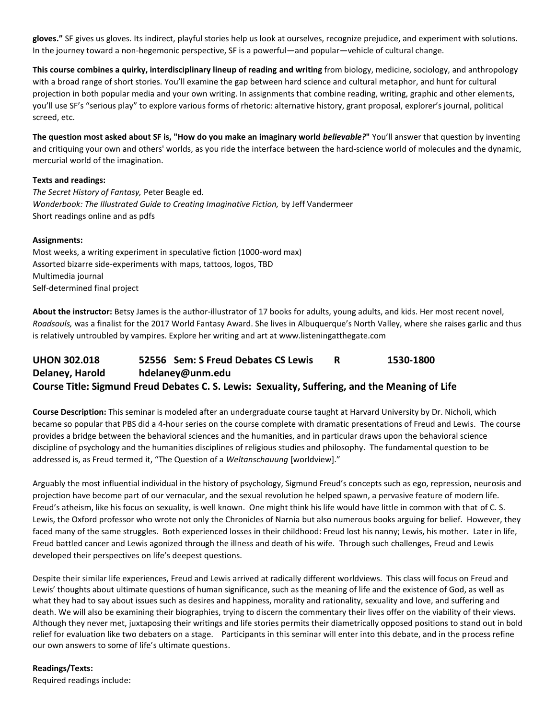**gloves."** SF gives us gloves. Its indirect, playful stories help us look at ourselves, recognize prejudice, and experiment with solutions. In the journey toward a non-hegemonic perspective, SF is a powerful—and popular—vehicle of cultural change.

**This course combines a quirky, interdisciplinary lineup of reading and writing** from biology, medicine, sociology, and anthropology with a broad range of short stories. You'll examine the gap between hard science and cultural metaphor, and hunt for cultural projection in both popular media and your own writing. In assignments that combine reading, writing, graphic and other elements, you'll use SF's "serious play" to explore various forms of rhetoric: alternative history, grant proposal, explorer's journal, political screed, etc.

**The question most asked about SF is, "How do you make an imaginary world** *believable?***"** You'll answer that question by inventing and critiquing your own and others' worlds, as you ride the interface between the hard-science world of molecules and the dynamic, mercurial world of the imagination.

#### **Texts and readings:**

*The Secret History of Fantasy,* Peter Beagle ed. *Wonderbook: The Illustrated Guide to Creating Imaginative Fiction,* by Jeff Vandermeer Short readings online and as pdfs

#### **Assignments:**

Most weeks, a writing experiment in speculative fiction (1000-word max) Assorted bizarre side-experiments with maps, tattoos, logos, TBD Multimedia journal Self-determined final project

**About the instructor:** Betsy James is the author-illustrator of 17 books for adults, young adults, and kids. Her most recent novel, *Roadsouls,* was a finalist for the 2017 World Fantasy Award. She lives in Albuquerque's North Valley, where she raises garlic and thus is relatively untroubled by vampires. Explore her writing and art at www.listeningatthegate.com

# **UHON 302.018 52556 Sem: S Freud Debates CS Lewis R 1530-1800 Delaney, Harold hdelaney@unm.edu Course Title: Sigmund Freud Debates C. S. Lewis: Sexuality, Suffering, and the Meaning of Life**

**Course Description:** This seminar is modeled after an undergraduate course taught at Harvard University by Dr. Nicholi, which became so popular that PBS did a 4-hour series on the course complete with dramatic presentations of Freud and Lewis. The course provides a bridge between the behavioral sciences and the humanities, and in particular draws upon the behavioral science discipline of psychology and the humanities disciplines of religious studies and philosophy. The fundamental question to be addressed is, as Freud termed it, "The Question of a *Weltanschauung* [worldview]."

Arguably the most influential individual in the history of psychology, Sigmund Freud's concepts such as ego, repression, neurosis and projection have become part of our vernacular, and the sexual revolution he helped spawn, a pervasive feature of modern life. Freud's atheism, like his focus on sexuality, is well known. One might think his life would have little in common with that of C. S. Lewis, the Oxford professor who wrote not only the Chronicles of Narnia but also numerous books arguing for belief. However, they faced many of the same struggles. Both experienced losses in their childhood: Freud lost his nanny; Lewis, his mother. Later in life, Freud battled cancer and Lewis agonized through the illness and death of his wife. Through such challenges, Freud and Lewis developed their perspectives on life's deepest questions.

Despite their similar life experiences, Freud and Lewis arrived at radically different worldviews. This class will focus on Freud and Lewis' thoughts about ultimate questions of human significance, such as the meaning of life and the existence of God, as well as what they had to say about issues such as desires and happiness, morality and rationality, sexuality and love, and suffering and death. We will also be examining their biographies, trying to discern the commentary their lives offer on the viability of their views. Although they never met, juxtaposing their writings and life stories permits their diametrically opposed positions to stand out in bold relief for evaluation like two debaters on a stage. Participants in this seminar will enter into this debate, and in the process refine our own answers to some of life's ultimate questions.

#### **Readings/Texts:**

Required readings include: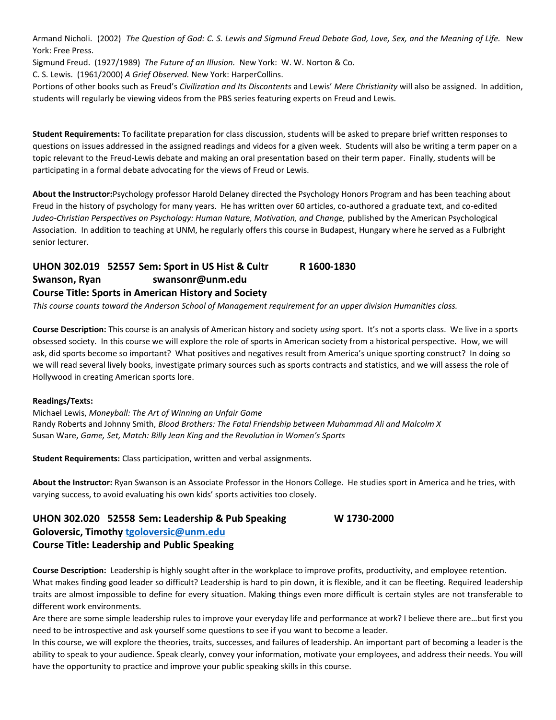Armand Nicholi. (2002) *The Question of God: C. S. Lewis and Sigmund Freud Debate God, Love, Sex, and the Meaning of Life.* New York: Free Press.

Sigmund Freud. (1927/1989) *The Future of an Illusion.* New York: W. W. Norton & Co.

C. S. Lewis. (1961/2000) *A Grief Observed.* New York: HarperCollins.

Portions of other books such as Freud's *Civilization and Its Discontents* and Lewis' *Mere Christianity* will also be assigned. In addition, students will regularly be viewing videos from the PBS series featuring experts on Freud and Lewis.

**Student Requirements:** To facilitate preparation for class discussion, students will be asked to prepare brief written responses to questions on issues addressed in the assigned readings and videos for a given week. Students will also be writing a term paper on a topic relevant to the Freud-Lewis debate and making an oral presentation based on their term paper. Finally, students will be participating in a formal debate advocating for the views of Freud or Lewis.

**About the Instructor:**Psychology professor Harold Delaney directed the Psychology Honors Program and has been teaching about Freud in the history of psychology for many years. He has written over 60 articles, co-authored a graduate text, and co-edited *Judeo-Christian Perspectives on Psychology: Human Nature, Motivation, and Change, published by the American Psychological* Association.In addition to teaching at UNM, he regularly offers this course in Budapest, Hungary where he served as a Fulbright senior lecturer.

# **UHON 302.019 52557 Sem: Sport in US Hist & Cultr R 1600-1830**  Swanson, Ryan swansonr@unm.edu **Course Title: Sports in American History and Society**

*This course counts toward the Anderson School of Management requirement for an upper division Humanities class.*

**Course Description:** This course is an analysis of American history and society *using* sport. It's not a sports class. We live in a sports obsessed society. In this course we will explore the role of sports in American society from a historical perspective. How, we will ask, did sports become so important? What positives and negatives result from America's unique sporting construct? In doing so we will read several lively books, investigate primary sources such as sports contracts and statistics, and we will assess the role of Hollywood in creating American sports lore.

#### **Readings/Texts:**

Michael Lewis, *Moneyball: The Art of Winning an Unfair Game* Randy Roberts and Johnny Smith, *Blood Brothers: The Fatal Friendship between Muhammad Ali and Malcolm X* Susan Ware, *Game, Set, Match: Billy Jean King and the Revolution in Women's Sports*

**Student Requirements:** Class participation, written and verbal assignments.

**About the Instructor:** Ryan Swanson is an Associate Professor in the Honors College. He studies sport in America and he tries, with varying success, to avoid evaluating his own kids' sports activities too closely.

# **UHON 302.020 52558 Sem: Leadership & Pub Speaking W 1730-2000 Goloversic, Timothy [tgoloversic@unm.edu](mailto:tgoloversic@unm.edu) Course Title: Leadership and Public Speaking**

**Course Description:** Leadership is highly sought after in the workplace to improve profits, productivity, and employee retention. What makes finding good leader so difficult? Leadership is hard to pin down, it is flexible, and it can be fleeting. Required leadership traits are almost impossible to define for every situation. Making things even more difficult is certain styles are not transferable to different work environments.

Are there are some simple leadership rules to improve your everyday life and performance at work? I believe there are…but first you need to be introspective and ask yourself some questions to see if you want to become a leader.

In this course, we will explore the theories, traits, successes, and failures of leadership. An important part of becoming a leader is the ability to speak to your audience. Speak clearly, convey your information, motivate your employees, and address their needs. You will have the opportunity to practice and improve your public speaking skills in this course.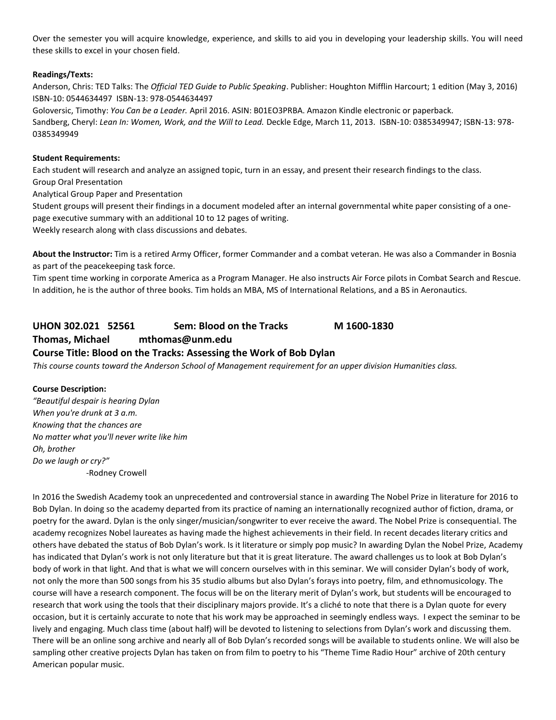Over the semester you will acquire knowledge, experience, and skills to aid you in developing your leadership skills. You will need these skills to excel in your chosen field.

#### **Readings/Texts:**

Anderson, Chris: TED Talks: The *Official TED Guide to Public Speaking*. Publisher: Houghton Mifflin Harcourt; 1 edition (May 3, 2016) ISBN-10: 0544634497 ISBN-13: 978-0544634497

Goloversic, Timothy: *You Can be a Leader.* April 2016. ASIN: B01EO3PRBA. Amazon Kindle electronic or paperback. Sandberg, Cheryl: *Lean In: Women, Work, and the Will to Lead.* Deckle Edge, March 11, 2013. ISBN-10: 0385349947; ISBN-13: 978- 0385349949

#### **Student Requirements:**

Each student will research and analyze an assigned topic, turn in an essay, and present their research findings to the class. Group Oral Presentation

Analytical Group Paper and Presentation

Student groups will present their findings in a document modeled after an internal governmental white paper consisting of a onepage executive summary with an additional 10 to 12 pages of writing.

Weekly research along with class discussions and debates.

**About the Instructor:** Tim is a retired Army Officer, former Commander and a combat veteran. He was also a Commander in Bosnia as part of the peacekeeping task force.

Tim spent time working in corporate America as a Program Manager. He also instructs Air Force pilots in Combat Search and Rescue. In addition, he is the author of three books. Tim holds an MBA, MS of International Relations, and a BS in Aeronautics.

# **UHON 302.021 52561 Sem: Blood on the Tracks M 1600-1830**

## **Thomas, Michael mthomas@unm.edu**

#### **Course Title: Blood on the Tracks: Assessing the Work of Bob Dylan**

*This course counts toward the Anderson School of Management requirement for an upper division Humanities class.*

#### **Course Description:**

*"Beautiful despair is hearing Dylan When you're drunk at 3 a.m. Knowing that the chances are No matter what you'll never write like him Oh, brother Do we laugh or cry?"* -Rodney Crowell

In 2016 the Swedish Academy took an unprecedented and controversial stance in awarding The Nobel Prize in literature for 2016 to Bob Dylan. In doing so the academy departed from its practice of naming an internationally recognized author of fiction, drama, or poetry for the award. Dylan is the only singer/musician/songwriter to ever receive the award. The Nobel Prize is consequential. The academy recognizes Nobel laureates as having made the highest achievements in their field. In recent decades literary critics and others have debated the status of Bob Dylan's work. Is it literature or simply pop music? In awarding Dylan the Nobel Prize, Academy has indicated that Dylan's work is not only literature but that it is great literature. The award challenges us to look at Bob Dylan's body of work in that light. And that is what we will concern ourselves with in this seminar. We will consider Dylan's body of work, not only the more than 500 songs from his 35 studio albums but also Dylan's forays into poetry, film, and ethnomusicology. The course will have a research component. The focus will be on the literary merit of Dylan's work, but students will be encouraged to research that work using the tools that their disciplinary majors provide. It's a cliché to note that there is a Dylan quote for every occasion, but it is certainly accurate to note that his work may be approached in seemingly endless ways. I expect the seminar to be lively and engaging. Much class time (about half) will be devoted to listening to selections from Dylan's work and discussing them. There will be an online song archive and nearly all of Bob Dylan's recorded songs will be available to students online. We will also be sampling other creative projects Dylan has taken on from film to poetry to his "Theme Time Radio Hour" archive of 20th century American popular music.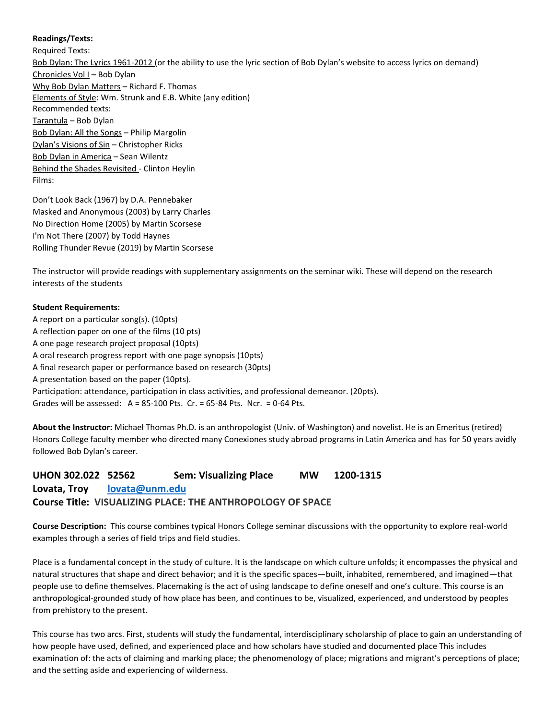#### **Readings/Texts:**

Required Texts: Bob Dylan: The Lyrics 1961-2012 (or the ability to use the lyric section of Bob Dylan's website to access lyrics on demand) Chronicles Vol I – Bob Dylan Why Bob Dylan Matters – Richard F. Thomas Elements of Style: Wm. Strunk and E.B. White (any edition) Recommended texts: Tarantula – Bob Dylan Bob Dylan: All the Songs – Philip Margolin Dylan's Visions of Sin – Christopher Ricks Bob Dylan in America – Sean Wilentz Behind the Shades Revisited - Clinton Heylin Films:

Don't Look Back (1967) by D.A. Pennebaker Masked and Anonymous (2003) by Larry Charles No Direction Home (2005) by Martin Scorsese I'm Not There (2007) by Todd Haynes Rolling Thunder Revue (2019) by Martin Scorsese

The instructor will provide readings with supplementary assignments on the seminar wiki. These will depend on the research interests of the students

#### **Student Requirements:**

A report on a particular song(s). (10pts) A reflection paper on one of the films (10 pts) A one page research project proposal (10pts) A oral research progress report with one page synopsis (10pts) A final research paper or performance based on research (30pts) A presentation based on the paper (10pts). Participation: attendance, participation in class activities, and professional demeanor. (20pts). Grades will be assessed:  $A = 85-100$  Pts. Cr. = 65-84 Pts. Ncr. = 0-64 Pts.

**About the Instructor:** Michael Thomas Ph.D. is an anthropologist (Univ. of Washington) and novelist. He is an Emeritus (retired) Honors College faculty member who directed many Conexiones study abroad programs in Latin America and has for 50 years avidly followed Bob Dylan's career.

# **UHON 302.022 52562 Sem: Visualizing Place MW 1200-1315 Lovata, Troy [lovata@unm.edu](mailto:lovata@unm.edu) Course Title: VISUALIZING PLACE: THE ANTHROPOLOGY OF SPACE**

**Course Description:** This course combines typical Honors College seminar discussions with the opportunity to explore real-world examples through a series of field trips and field studies.

Place is a fundamental concept in the study of culture. It is the landscape on which culture unfolds; it encompasses the physical and natural structures that shape and direct behavior; and it is the specific spaces—built, inhabited, remembered, and imagined—that people use to define themselves. Placemaking is the act of using landscape to define oneself and one's culture. This course is an anthropological-grounded study of how place has been, and continues to be, visualized, experienced, and understood by peoples from prehistory to the present.

This course has two arcs. First, students will study the fundamental, interdisciplinary scholarship of place to gain an understanding of how people have used, defined, and experienced place and how scholars have studied and documented place This includes examination of: the acts of claiming and marking place; the phenomenology of place; migrations and migrant's perceptions of place; and the setting aside and experiencing of wilderness.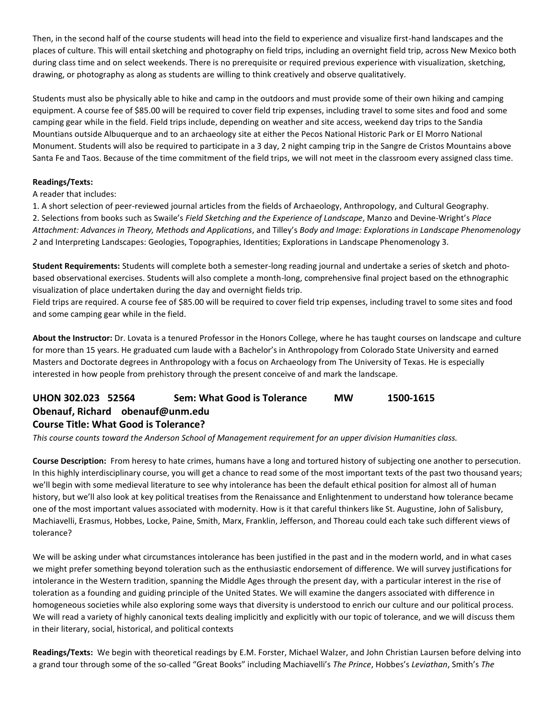Then, in the second half of the course students will head into the field to experience and visualize first-hand landscapes and the places of culture. This will entail sketching and photography on field trips, including an overnight field trip, across New Mexico both during class time and on select weekends. There is no prerequisite or required previous experience with visualization, sketching, drawing, or photography as along as students are willing to think creatively and observe qualitatively.

Students must also be physically able to hike and camp in the outdoors and must provide some of their own hiking and camping equipment. A course fee of \$85.00 will be required to cover field trip expenses, including travel to some sites and food and some camping gear while in the field. Field trips include, depending on weather and site access, weekend day trips to the Sandia Mountians outside Albuquerque and to an archaeology site at either the Pecos National Historic Park or El Morro National Monument. Students will also be required to participate in a 3 day, 2 night camping trip in the Sangre de Cristos Mountains above Santa Fe and Taos. Because of the time commitment of the field trips, we will not meet in the classroom every assigned class time.

#### **Readings/Texts:**

#### A reader that includes:

1. A short selection of peer-reviewed journal articles from the fields of Archaeology, Anthropology, and Cultural Geography. 2. Selections from books such as Swaile's *Field Sketching and the Experience of Landscape*, Manzo and Devine-Wright's *Place Attachment: Advances in Theory, Methods and Applications*, and Tilley's *Body and Image: Explorations in Landscape Phenomenology 2* and Interpreting Landscapes: Geologies, Topographies, Identities; Explorations in Landscape Phenomenology 3.

**Student Requirements:** Students will complete both a semester-long reading journal and undertake a series of sketch and photobased observational exercises. Students will also complete a month-long, comprehensive final project based on the ethnographic visualization of place undertaken during the day and overnight fields trip.

Field trips are required. A course fee of \$85.00 will be required to cover field trip expenses, including travel to some sites and food and some camping gear while in the field.

**About the Instructor:** Dr. Lovata is a tenured Professor in the Honors College, where he has taught courses on landscape and culture for more than 15 years. He graduated cum laude with a Bachelor's in Anthropology from Colorado State University and earned Masters and Doctorate degrees in Anthropology with a focus on Archaeology from The University of Texas. He is especially interested in how people from prehistory through the present conceive of and mark the landscape.

# **UHON 302.023 52564 Sem: What Good is Tolerance MW 1500-1615 Obenauf, Richard obenauf@unm.edu Course Title: What Good is Tolerance?**

*This course counts toward the Anderson School of Management requirement for an upper division Humanities class.*

**Course Description:** From heresy to hate crimes, humans have a long and tortured history of subjecting one another to persecution. In this highly interdisciplinary course, you will get a chance to read some of the most important texts of the past two thousand years; we'll begin with some medieval literature to see why intolerance has been the default ethical position for almost all of human history, but we'll also look at key political treatises from the Renaissance and Enlightenment to understand how tolerance became one of the most important values associated with modernity. How is it that careful thinkers like St. Augustine, John of Salisbury, Machiavelli, Erasmus, Hobbes, Locke, Paine, Smith, Marx, Franklin, Jefferson, and Thoreau could each take such different views of tolerance?

We will be asking under what circumstances intolerance has been justified in the past and in the modern world, and in what cases we might prefer something beyond toleration such as the enthusiastic endorsement of difference. We will survey justifications for intolerance in the Western tradition, spanning the Middle Ages through the present day, with a particular interest in the rise of toleration as a founding and guiding principle of the United States. We will examine the dangers associated with difference in homogeneous societies while also exploring some ways that diversity is understood to enrich our culture and our political process. We will read a variety of highly canonical texts dealing implicitly and explicitly with our topic of tolerance, and we will discuss them in their literary, social, historical, and political contexts

**Readings/Texts:** We begin with theoretical readings by E.M. Forster, Michael Walzer, and John Christian Laursen before delving into a grand tour through some of the so-called "Great Books" including Machiavelli's *The Prince*, Hobbes's *Leviathan*, Smith's *The*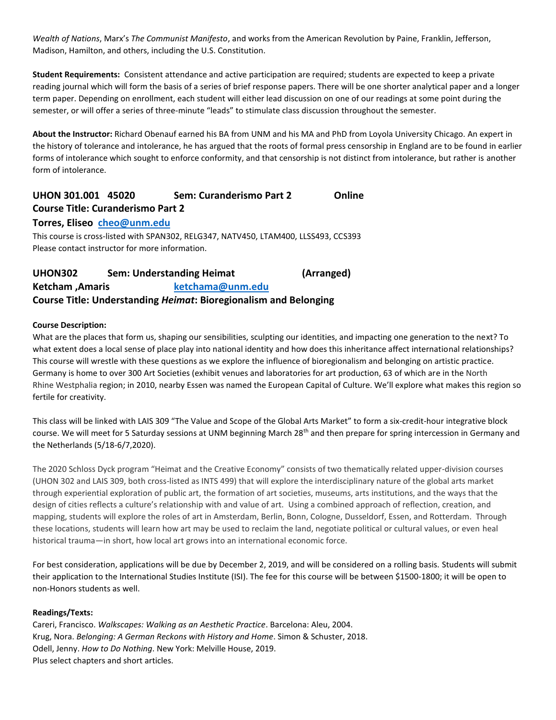*Wealth of Nations*, Marx's *The Communist Manifesto*, and works from the American Revolution by Paine, Franklin, Jefferson, Madison, Hamilton, and others, including the U.S. Constitution.

**Student Requirements:** Consistent attendance and active participation are required; students are expected to keep a private reading journal which will form the basis of a series of brief response papers. There will be one shorter analytical paper and a longer term paper. Depending on enrollment, each student will either lead discussion on one of our readings at some point during the semester, or will offer a series of three-minute "leads" to stimulate class discussion throughout the semester.

**About the Instructor:** Richard Obenauf earned his BA from UNM and his MA and PhD from Loyola University Chicago. An expert in the history of tolerance and intolerance, he has argued that the roots of formal press censorship in England are to be found in earlier forms of intolerance which sought to enforce conformity, and that censorship is not distinct from intolerance, but rather is another form of intolerance.

# **UHON 301.001 45020 Sem: Curanderismo Part 2 Online Course Title: Curanderismo Part 2**

#### **Torres, Eliseo [cheo@unm.edu](mailto:cheo@unm.edu)**

This course is cross-listed with SPAN302, RELG347, NATV450, LTAM400, LLSS493, CCS393 Please contact instructor for more information.

# **UHON302 Sem: Understanding Heimat (Arranged) Ketcham ,Amaris [ketchama@unm.edu](mailto:ketchama@unm.edu) Course Title: Understanding** *Heimat***: Bioregionalism and Belonging**

#### **Course Description:**

What are the places that form us, shaping our sensibilities, sculpting our identities, and impacting one generation to the next? To what extent does a local sense of place play into national identity and how does this inheritance affect international relationships? This course will wrestle with these questions as we explore the influence of bioregionalism and belonging on artistic practice. Germany is home to over 300 Art Societies (exhibit venues and laboratories for art production, 63 of which are in the North Rhine Westphalia region; in 2010, nearby Essen was named the European Capital of Culture. We'll explore what makes this region so fertile for creativity.

This class will be linked with LAIS 309 "The Value and Scope of the Global Arts Market" to form a six-credit-hour integrative block course. We will meet for 5 Saturday sessions at UNM beginning March 28<sup>th</sup> and then prepare for spring intercession in Germany and the Netherlands (5/18-6/7,2020).

The 2020 Schloss Dyck program "Heimat and the Creative Economy" consists of two thematically related upper-division courses (UHON 302 and LAIS 309, both cross-listed as INTS 499) that will explore the interdisciplinary nature of the global arts market through experiential exploration of public art, the formation of art societies, museums, arts institutions, and the ways that the design of cities reflects a culture's relationship with and value of art. Using a combined approach of reflection, creation, and mapping, students will explore the roles of art in Amsterdam, Berlin, Bonn, Cologne, Dusseldorf, Essen, and Rotterdam. Through these locations, students will learn how art may be used to reclaim the land, negotiate political or cultural values, or even heal historical trauma—in short, how local art grows into an international economic force.

For best consideration, applications will be due by December 2, 2019, and will be considered on a rolling basis. Students will submit their application to the International Studies Institute (ISI). The fee for this course will be between \$1500-1800; it will be open to non-Honors students as well.

#### **Readings/Texts:**

Careri, Francisco. *Walkscapes: Walking as an Aesthetic Practice*. Barcelona: Aleu, 2004. Krug, Nora. *Belonging: A German Reckons with History and Home*. Simon & Schuster, 2018. Odell, Jenny. *How to Do Nothing*. New York: Melville House, 2019. Plus select chapters and short articles.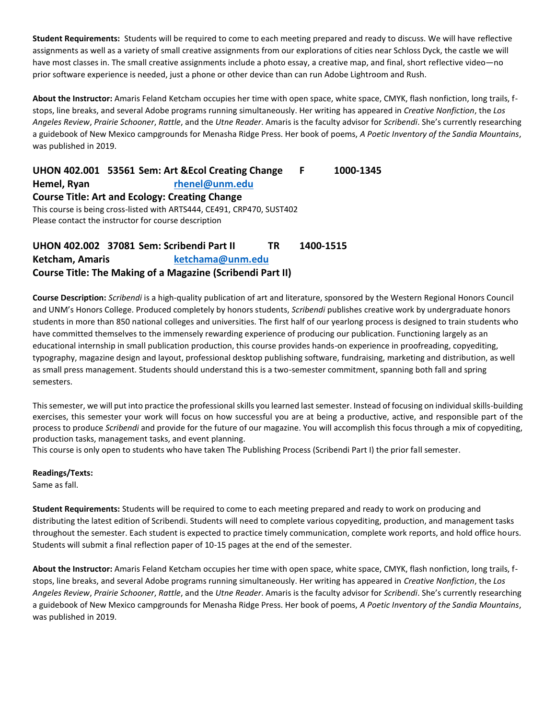**Student Requirements:** Students will be required to come to each meeting prepared and ready to discuss. We will have reflective assignments as well as a variety of small creative assignments from our explorations of cities near Schloss Dyck, the castle we will have most classes in. The small creative assignments include a photo essay, a creative map, and final, short reflective video—no prior software experience is needed, just a phone or other device than can run Adobe Lightroom and Rush.

**About the Instructor:** Amaris Feland Ketcham occupies her time with open space, white space, CMYK, flash nonfiction, long trails, fstops, line breaks, and several Adobe programs running simultaneously. Her writing has appeared in *Creative Nonfiction*, the*Los Angeles Review*, *Prairie Schooner*, *Rattle*, and the *Utne Reader*. Amaris is the faculty advisor for *Scribendi*. She's currently researching a guidebook of New Mexico campgrounds for Menasha Ridge Press. Her book of poems, *A Poetic Inventory of the Sandia Mountains*, was published in 2019.

**UHON 402.001 53561 Sem: Art &Ecol Creating Change F 1000-1345 Hemel, Ryan [rhenel@unm.edu](mailto:rhenel@unm.edu) Course Title: Art and Ecology: Creating Change** This course is being cross-listed with ARTS444, CE491, CRP470, SUST402 Please contact the instructor for course description

# **UHON 402.002 37081 Sem: Scribendi Part II TR 1400-1515 Ketcham, Amaris [ketchama@unm.edu](mailto:ketchama@unm.edu) Course Title: The Making of a Magazine (Scribendi Part II)**

**Course Description:** *Scribendi* is a high-quality publication of art and literature, sponsored by the Western Regional Honors Council and UNM's Honors College. Produced completely by honors students, *Scribendi* publishes creative work by undergraduate honors students in more than 850 national colleges and universities. The first half of our yearlong process is designed to train students who have committed themselves to the immensely rewarding experience of producing our publication. Functioning largely as an educational internship in small publication production, this course provides hands-on experience in proofreading, copyediting, typography, magazine design and layout, professional desktop publishing software, fundraising, marketing and distribution, as well as small press management. Students should understand this is a two-semester commitment, spanning both fall and spring semesters.

This semester, we will put into practice the professional skills you learned last semester. Instead of focusing on individual skills-building exercises, this semester your work will focus on how successful you are at being a productive, active, and responsible part of the process to produce *Scribendi* and provide for the future of our magazine. You will accomplish this focus through a mix of copyediting, production tasks, management tasks, and event planning.

This course is only open to students who have taken The Publishing Process (Scribendi Part I) the prior fall semester.

#### **Readings/Texts:**

Same as fall.

**Student Requirements:** Students will be required to come to each meeting prepared and ready to work on producing and distributing the latest edition of Scribendi. Students will need to complete various copyediting, production, and management tasks throughout the semester. Each student is expected to practice timely communication, complete work reports, and hold office hours. Students will submit a final reflection paper of 10-15 pages at the end of the semester.

**About the Instructor:** Amaris Feland Ketcham occupies her time with open space, white space, CMYK, flash nonfiction, long trails, fstops, line breaks, and several Adobe programs running simultaneously. Her writing has appeared in *Creative Nonfiction*, the*Los Angeles Review*, *Prairie Schooner*, *Rattle*, and the *Utne Reader*. Amaris is the faculty advisor for *Scribendi*. She's currently researching a guidebook of New Mexico campgrounds for Menasha Ridge Press. Her book of poems, *A Poetic Inventory of the Sandia Mountains*, was published in 2019.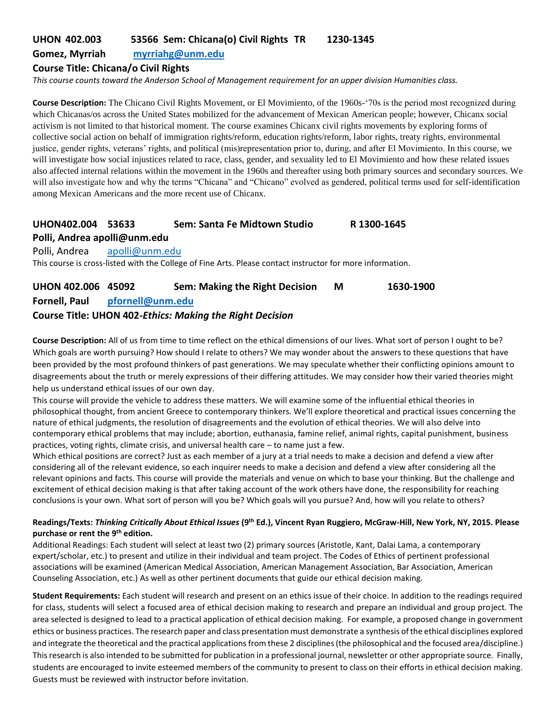# **UHON 402.003 53566 Sem: Chicana(o) Civil Rights TR 1230-1345**

#### **Gomez, Myrriah [myrriahg@unm.edu](mailto:myrriahg@unm.edu)**

#### **Course Title: Chicana/o Civil Rights**

*This course counts toward the Anderson School of Management requirement for an upper division Humanities class.*

**Course Description:** The Chicano Civil Rights Movement, or El Movimiento, of the 1960s-'70s is the period most recognized during which Chicanas/os across the United States mobilized for the advancement of Mexican American people; however, Chicanx social activism is not limited to that historical moment. The course examines Chicanx civil rights movements by exploring forms of collective social action on behalf of immigration rights/reform, education rights/reform, labor rights, treaty rights, environmental justice, gender rights, veterans' rights, and political (mis)representation prior to, during, and after El Movimiento. In this course, we will investigate how social injustices related to race, class, gender, and sexuality led to El Movimiento and how these related issues also affected internal relations within the movement in the 1960s and thereafter using both primary sources and secondary sources. We will also investigate how and why the terms "Chicana" and "Chicano" evolved as gendered, political terms used for self-identification among Mexican Americans and the more recent use of Chicanx.

# **UHON402.004 53633 Sem: Santa Fe Midtown Studio R 1300-1645 Polli, Andrea apolli@unm.edu**

Polli, Andrea [apolli@unm.edu](mailto:apolli@unm.edu) This course is cross-listed with the College of Fine Arts. Please contact instructor for more information.

| UHON 402.006 45092 |                  | <b>Sem: Making the Right Decision</b>                           | M | 1630-1900 |
|--------------------|------------------|-----------------------------------------------------------------|---|-----------|
| Fornell, Paul      | pfornell@unm.edu |                                                                 |   |           |
|                    |                  | <b>Course Title: UHON 402-Ethics: Making the Right Decision</b> |   |           |

**Course Description:** All of us from time to time reflect on the ethical dimensions of our lives. What sort of person I ought to be? Which goals are worth pursuing? How should I relate to others? We may wonder about the answers to these questions that have been provided by the most profound thinkers of past generations. We may speculate whether their conflicting opinions amount to disagreements about the truth or merely expressions of their differing attitudes. We may consider how their varied theories might help us understand ethical issues of our own day.

This course will provide the vehicle to address these matters. We will examine some of the influential ethical theories in philosophical thought, from ancient Greece to contemporary thinkers. We'll explore theoretical and practical issues concerning the nature of ethical judgments, the resolution of disagreements and the evolution of ethical theories. We will also delve into contemporary ethical problems that may include; abortion, euthanasia, famine relief, animal rights, capital punishment, business practices, voting rights, climate crisis, and universal health care – to name just a few.

Which ethical positions are correct? Just as each member of a jury at a trial needs to make a decision and defend a view after considering all of the relevant evidence, so each inquirer needs to make a decision and defend a view after considering all the relevant opinions and facts. This course will provide the materials and venue on which to base your thinking. But the challenge and excitement of ethical decision making is that after taking account of the work others have done, the responsibility for reaching conclusions is your own. What sort of person will you be? Which goals will you pursue? And, how will you relate to others?

#### **Readings/Texts:** *Thinking Critically About Ethical Issues* **(9th Ed.), Vincent Ryan Ruggiero, McGraw-Hill, New York, NY, 2015. Please purchase or rent the 9th edition.**

Additional Readings: Each student will select at least two (2) primary sources (Aristotle, Kant, Dalai Lama, a contemporary expert/scholar, etc.) to present and utilize in their individual and team project. The Codes of Ethics of pertinent professional associations will be examined (American Medical Association, American Management Association, Bar Association, American Counseling Association, etc.) As well as other pertinent documents that guide our ethical decision making.

**Student Requirements:** Each student will research and present on an ethics issue of their choice. In addition to the readings required for class, students will select a focused area of ethical decision making to research and prepare an individual and group project. The area selected is designed to lead to a practical application of ethical decision making. For example, a proposed change in government ethics or business practices. The research paper and class presentation must demonstrate a synthesis of the ethical disciplines explored and integrate the theoretical and the practical applications from these 2 disciplines (the philosophical and the focused area/discipline.) This research is also intended to be submitted for publication in a professional journal, newsletter or other appropriate source. Finally, students are encouraged to invite esteemed members of the community to present to class on their efforts in ethical decision making. Guests must be reviewed with instructor before invitation.